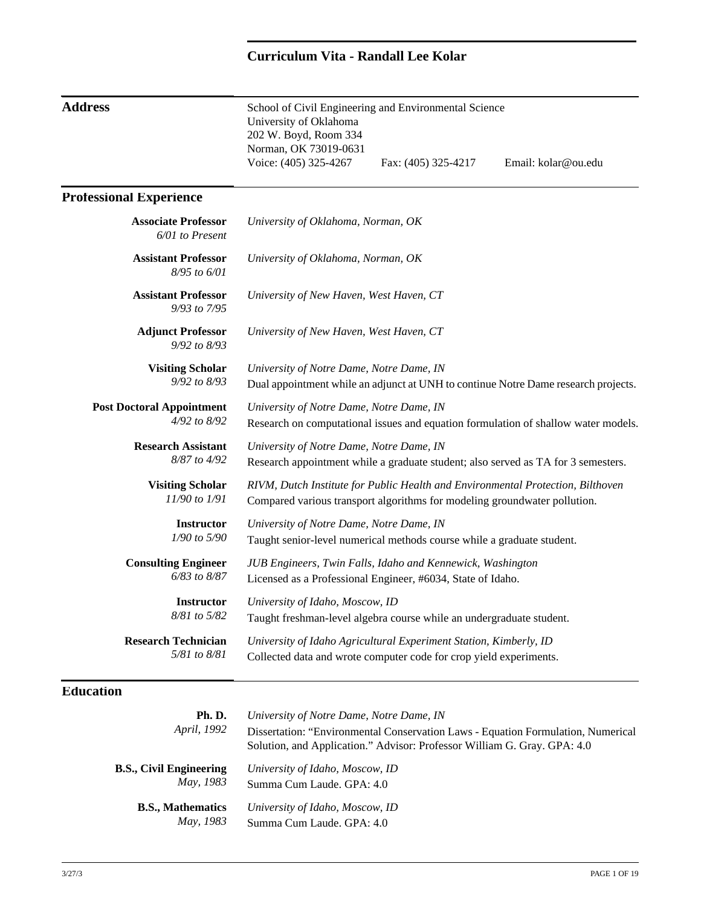# **Curriculum Vita - Randall Lee Kolar**

| <b>Address</b>                                   | School of Civil Engineering and Environmental Science<br>University of Oklahoma<br>202 W. Boyd, Room 334<br>Norman, OK 73019-0631                            |                     |                     |
|--------------------------------------------------|--------------------------------------------------------------------------------------------------------------------------------------------------------------|---------------------|---------------------|
|                                                  | Voice: (405) 325-4267                                                                                                                                        | Fax: (405) 325-4217 | Email: kolar@ou.edu |
| <b>Professional Experience</b>                   |                                                                                                                                                              |                     |                     |
| <b>Associate Professor</b><br>6/01 to Present    | University of Oklahoma, Norman, OK                                                                                                                           |                     |                     |
| <b>Assistant Professor</b><br>8/95 to 6/01       | University of Oklahoma, Norman, OK                                                                                                                           |                     |                     |
| <b>Assistant Professor</b><br>9/93 to 7/95       | University of New Haven, West Haven, CT                                                                                                                      |                     |                     |
| <b>Adjunct Professor</b><br>9/92 to 8/93         | University of New Haven, West Haven, CT                                                                                                                      |                     |                     |
| <b>Visiting Scholar</b><br>9/92 to 8/93          | University of Notre Dame, Notre Dame, IN<br>Dual appointment while an adjunct at UNH to continue Notre Dame research projects.                               |                     |                     |
| <b>Post Doctoral Appointment</b><br>4/92 to 8/92 | University of Notre Dame, Notre Dame, IN<br>Research on computational issues and equation formulation of shallow water models.                               |                     |                     |
| <b>Research Assistant</b><br>8/87 to 4/92        | University of Notre Dame, Notre Dame, IN<br>Research appointment while a graduate student; also served as TA for 3 semesters.                                |                     |                     |
| <b>Visiting Scholar</b><br>11/90 to 1/91         | RIVM, Dutch Institute for Public Health and Environmental Protection, Bilthoven<br>Compared various transport algorithms for modeling groundwater pollution. |                     |                     |
| <b>Instructor</b><br>1/90 to 5/90                | University of Notre Dame, Notre Dame, IN<br>Taught senior-level numerical methods course while a graduate student.                                           |                     |                     |
| <b>Consulting Engineer</b><br>6/83 to 8/87       | JUB Engineers, Twin Falls, Idaho and Kennewick, Washington<br>Licensed as a Professional Engineer, #6034, State of Idaho.                                    |                     |                     |
| <b>Instructor</b><br>8/81 to 5/82                | University of Idaho, Moscow, ID<br>Taught freshman-level algebra course while an undergraduate student.                                                      |                     |                     |
| <b>Research Technician</b><br>5/81 to 8/81       | University of Idaho Agricultural Experiment Station, Kimberly, ID<br>Collected data and wrote computer code for crop yield experiments.                      |                     |                     |

## **Education**

| Ph. D.                   | University of Notre Dame, Notre Dame, IN                                                                                                                     |
|--------------------------|--------------------------------------------------------------------------------------------------------------------------------------------------------------|
| <i>April, 1992</i>       | Dissertation: "Environmental Conservation Laws - Equation Formulation, Numerical<br>Solution, and Application." Advisor: Professor William G. Gray. GPA: 4.0 |
| B.S., Civil Engineering  | University of Idaho, Moscow, ID                                                                                                                              |
| May, 1983                | Summa Cum Laude, GPA: 4.0                                                                                                                                    |
| <b>B.S., Mathematics</b> | University of Idaho, Moscow, ID                                                                                                                              |
| May, 1983                | Summa Cum Laude, GPA: 4.0                                                                                                                                    |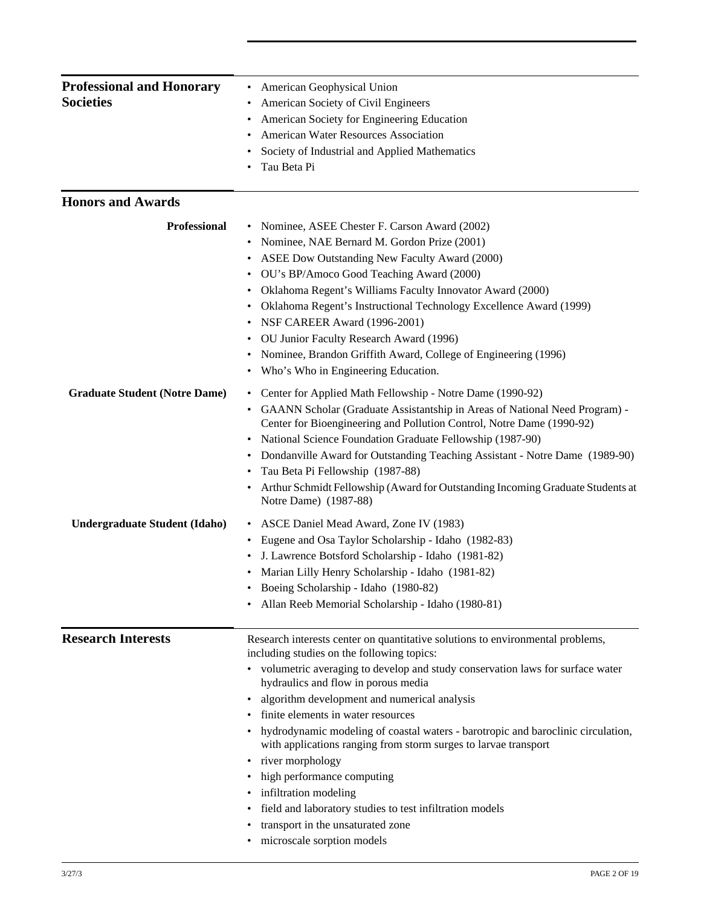| <b>Professional and Honorary</b>     | <b>American Geophysical Union</b><br>٠                                                                                                                |  |  |
|--------------------------------------|-------------------------------------------------------------------------------------------------------------------------------------------------------|--|--|
| <b>Societies</b>                     | American Society of Civil Engineers                                                                                                                   |  |  |
|                                      | American Society for Engineering Education                                                                                                            |  |  |
|                                      | <b>American Water Resources Association</b>                                                                                                           |  |  |
|                                      | Society of Industrial and Applied Mathematics                                                                                                         |  |  |
|                                      | Tau Beta Pi                                                                                                                                           |  |  |
| <b>Honors and Awards</b>             |                                                                                                                                                       |  |  |
| <b>Professional</b>                  | Nominee, ASEE Chester F. Carson Award (2002)                                                                                                          |  |  |
|                                      | Nominee, NAE Bernard M. Gordon Prize (2001)                                                                                                           |  |  |
|                                      | ASEE Dow Outstanding New Faculty Award (2000)                                                                                                         |  |  |
|                                      | OU's BP/Amoco Good Teaching Award (2000)                                                                                                              |  |  |
|                                      | Oklahoma Regent's Williams Faculty Innovator Award (2000)<br>٠                                                                                        |  |  |
|                                      | Oklahoma Regent's Instructional Technology Excellence Award (1999)                                                                                    |  |  |
|                                      | NSF CAREER Award (1996-2001)                                                                                                                          |  |  |
|                                      | OU Junior Faculty Research Award (1996)                                                                                                               |  |  |
|                                      | Nominee, Brandon Griffith Award, College of Engineering (1996)                                                                                        |  |  |
|                                      | • Who's Who in Engineering Education.                                                                                                                 |  |  |
| <b>Graduate Student (Notre Dame)</b> | • Center for Applied Math Fellowship - Notre Dame (1990-92)                                                                                           |  |  |
|                                      | GAANN Scholar (Graduate Assistantship in Areas of National Need Program) -                                                                            |  |  |
|                                      | Center for Bioengineering and Pollution Control, Notre Dame (1990-92)                                                                                 |  |  |
|                                      | National Science Foundation Graduate Fellowship (1987-90)                                                                                             |  |  |
|                                      | Dondanville Award for Outstanding Teaching Assistant - Notre Dame (1989-90)                                                                           |  |  |
|                                      | Tau Beta Pi Fellowship (1987-88)                                                                                                                      |  |  |
|                                      | Arthur Schmidt Fellowship (Award for Outstanding Incoming Graduate Students at<br>Notre Dame) (1987-88)                                               |  |  |
| <b>Undergraduate Student (Idaho)</b> | ASCE Daniel Mead Award, Zone IV (1983)                                                                                                                |  |  |
|                                      | Eugene and Osa Taylor Scholarship - Idaho (1982-83)                                                                                                   |  |  |
|                                      | J. Lawrence Botsford Scholarship - Idaho (1981-82)                                                                                                    |  |  |
|                                      | Marian Lilly Henry Scholarship - Idaho (1981-82)                                                                                                      |  |  |
|                                      | Boeing Scholarship - Idaho (1980-82)                                                                                                                  |  |  |
|                                      | Allan Reeb Memorial Scholarship - Idaho (1980-81)                                                                                                     |  |  |
| <b>Research Interests</b>            | Research interests center on quantitative solutions to environmental problems,                                                                        |  |  |
|                                      | including studies on the following topics:                                                                                                            |  |  |
|                                      | • volumetric averaging to develop and study conservation laws for surface water<br>hydraulics and flow in porous media                                |  |  |
|                                      | algorithm development and numerical analysis                                                                                                          |  |  |
|                                      | finite elements in water resources                                                                                                                    |  |  |
|                                      | • hydrodynamic modeling of coastal waters - barotropic and baroclinic circulation,<br>with applications ranging from storm surges to larvae transport |  |  |
|                                      | river morphology                                                                                                                                      |  |  |
|                                      | high performance computing                                                                                                                            |  |  |
|                                      | • infiltration modeling                                                                                                                               |  |  |
|                                      | field and laboratory studies to test infiltration models                                                                                              |  |  |
|                                      | transport in the unsaturated zone                                                                                                                     |  |  |
|                                      | microscale sorption models                                                                                                                            |  |  |
|                                      |                                                                                                                                                       |  |  |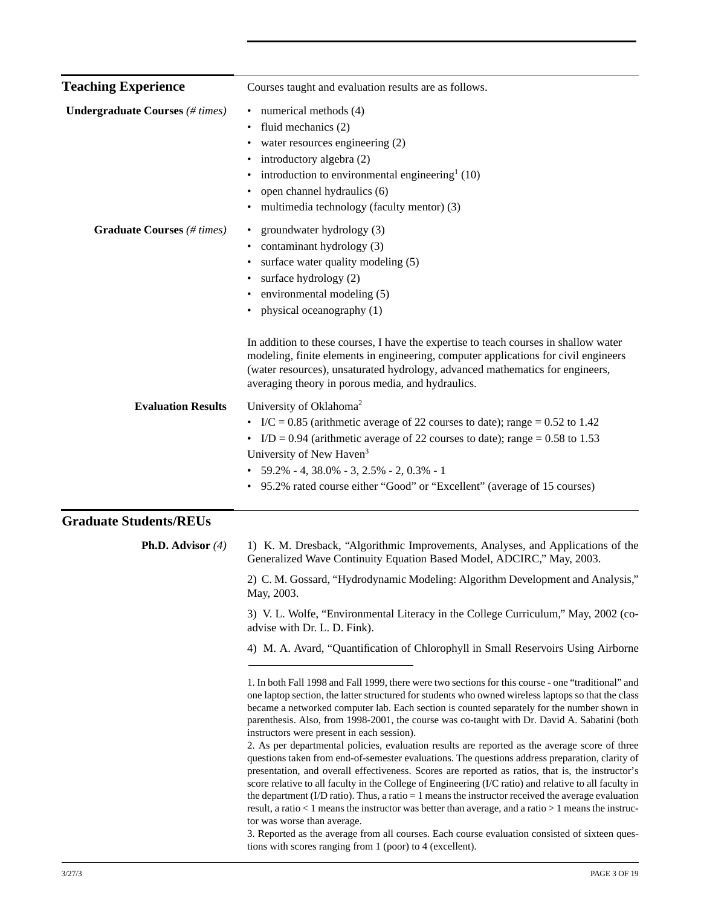| <b>Teaching Experience</b>             | Courses taught and evaluation results are as follows.                                                                                                                                                                                                                                                                                                                                                                                                                                                                                                                                                                                                                                                                                                                                                                                                                                                                                                                                                                                                                                                                                                                                                                            |
|----------------------------------------|----------------------------------------------------------------------------------------------------------------------------------------------------------------------------------------------------------------------------------------------------------------------------------------------------------------------------------------------------------------------------------------------------------------------------------------------------------------------------------------------------------------------------------------------------------------------------------------------------------------------------------------------------------------------------------------------------------------------------------------------------------------------------------------------------------------------------------------------------------------------------------------------------------------------------------------------------------------------------------------------------------------------------------------------------------------------------------------------------------------------------------------------------------------------------------------------------------------------------------|
| <b>Undergraduate Courses</b> (# times) | numerical methods (4)<br>٠<br>fluid mechanics (2)<br>$\bullet$<br>water resources engineering (2)<br>introductory algebra (2)<br>introduction to environmental engineering $(10)$<br>$\bullet$<br>open channel hydraulics (6)<br>$\bullet$<br>multimedia technology (faculty mentor) (3)                                                                                                                                                                                                                                                                                                                                                                                                                                                                                                                                                                                                                                                                                                                                                                                                                                                                                                                                         |
| <b>Graduate Courses</b> (# times)      | groundwater hydrology (3)<br>$\bullet$<br>contaminant hydrology (3)<br>surface water quality modeling (5)<br>surface hydrology (2)<br>environmental modeling (5)<br>physical oceanography (1)<br>٠                                                                                                                                                                                                                                                                                                                                                                                                                                                                                                                                                                                                                                                                                                                                                                                                                                                                                                                                                                                                                               |
|                                        | In addition to these courses, I have the expertise to teach courses in shallow water<br>modeling, finite elements in engineering, computer applications for civil engineers<br>(water resources), unsaturated hydrology, advanced mathematics for engineers,<br>averaging theory in porous media, and hydraulics.                                                                                                                                                                                                                                                                                                                                                                                                                                                                                                                                                                                                                                                                                                                                                                                                                                                                                                                |
| <b>Evaluation Results</b>              | University of Oklahoma <sup>2</sup><br>• I/C = 0.85 (arithmetic average of 22 courses to date); range = 0.52 to 1.42<br>• I/D = 0.94 (arithmetic average of 22 courses to date); range = 0.58 to 1.53<br>University of New Haven <sup>3</sup><br>$\bullet$ 59.2% - 4, 38.0% - 3, 2.5% - 2, 0.3% - 1<br>95.2% rated course either "Good" or "Excellent" (average of 15 courses)                                                                                                                                                                                                                                                                                                                                                                                                                                                                                                                                                                                                                                                                                                                                                                                                                                                   |
| <b>Graduate Students/REUs</b>          |                                                                                                                                                                                                                                                                                                                                                                                                                                                                                                                                                                                                                                                                                                                                                                                                                                                                                                                                                                                                                                                                                                                                                                                                                                  |
| <b>Ph.D.</b> Advisor $(4)$             | 1) K. M. Dresback, "Algorithmic Improvements, Analyses, and Applications of the<br>Generalized Wave Continuity Equation Based Model, ADCIRC," May, 2003.                                                                                                                                                                                                                                                                                                                                                                                                                                                                                                                                                                                                                                                                                                                                                                                                                                                                                                                                                                                                                                                                         |
|                                        | 2) C. M. Gossard, "Hydrodynamic Modeling: Algorithm Development and Analysis,"<br>May, 2003.                                                                                                                                                                                                                                                                                                                                                                                                                                                                                                                                                                                                                                                                                                                                                                                                                                                                                                                                                                                                                                                                                                                                     |
|                                        | 3) V. L. Wolfe, "Environmental Literacy in the College Curriculum," May, 2002 (co-<br>advise with Dr. L. D. Fink).                                                                                                                                                                                                                                                                                                                                                                                                                                                                                                                                                                                                                                                                                                                                                                                                                                                                                                                                                                                                                                                                                                               |
|                                        | 4) M. A. Avard, "Quantification of Chlorophyll in Small Reservoirs Using Airborne                                                                                                                                                                                                                                                                                                                                                                                                                                                                                                                                                                                                                                                                                                                                                                                                                                                                                                                                                                                                                                                                                                                                                |
|                                        | 1. In both Fall 1998 and Fall 1999, there were two sections for this course - one "traditional" and<br>one laptop section, the latter structured for students who owned wireless laptops so that the class<br>became a networked computer lab. Each section is counted separately for the number shown in<br>parenthesis. Also, from 1998-2001, the course was co-taught with Dr. David A. Sabatini (both<br>instructors were present in each session).<br>2. As per departmental policies, evaluation results are reported as the average score of three<br>questions taken from end-of-semester evaluations. The questions address preparation, clarity of<br>presentation, and overall effectiveness. Scores are reported as ratios, that is, the instructor's<br>score relative to all faculty in the College of Engineering (I/C ratio) and relative to all faculty in<br>the department (I/D ratio). Thus, a ratio $= 1$ means the instructor received the average evaluation<br>result, a ratio $< 1$ means the instructor was better than average, and a ratio $> 1$ means the instruc-<br>tor was worse than average.<br>3. Reported as the average from all courses. Each course evaluation consisted of sixteen ques- |

tions with scores ranging from 1 (poor) to 4 (excellent).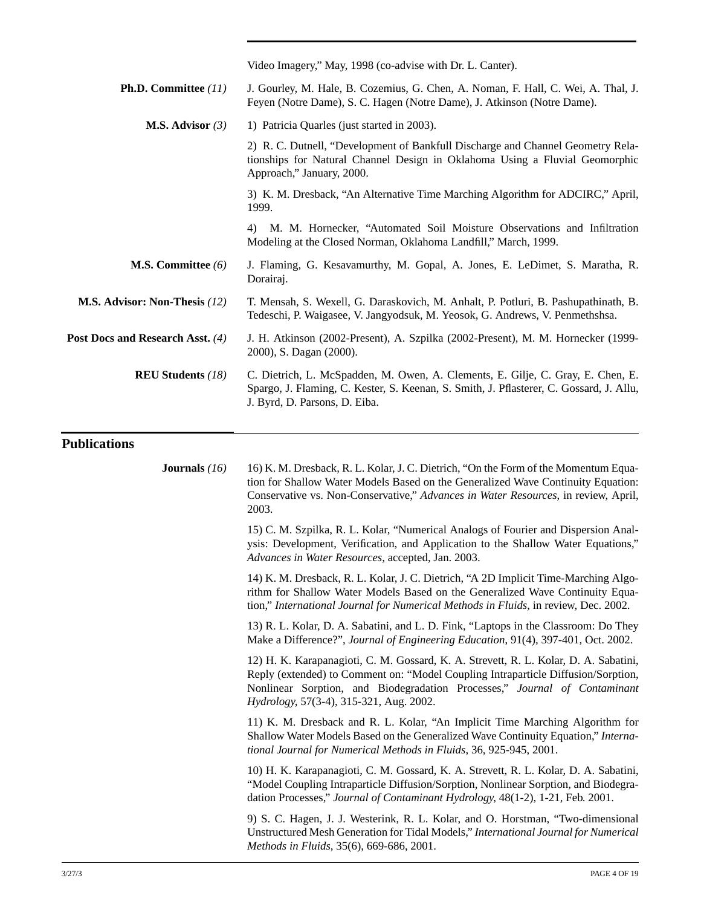|                                  | Video Imagery," May, 1998 (co-advise with Dr. L. Canter).                                                                                                                                                                                                                                         |
|----------------------------------|---------------------------------------------------------------------------------------------------------------------------------------------------------------------------------------------------------------------------------------------------------------------------------------------------|
| <b>Ph.D.</b> Committee $(11)$    | J. Gourley, M. Hale, B. Cozemius, G. Chen, A. Noman, F. Hall, C. Wei, A. Thal, J.<br>Feyen (Notre Dame), S. C. Hagen (Notre Dame), J. Atkinson (Notre Dame).                                                                                                                                      |
| <b>M.S. Advisor</b> $(3)$        | 1) Patricia Quarles (just started in 2003).                                                                                                                                                                                                                                                       |
|                                  | 2) R. C. Dutnell, "Development of Bankfull Discharge and Channel Geometry Rela-<br>tionships for Natural Channel Design in Oklahoma Using a Fluvial Geomorphic<br>Approach," January, 2000.                                                                                                       |
|                                  | 3) K. M. Dresback, "An Alternative Time Marching Algorithm for ADCIRC," April,<br>1999.                                                                                                                                                                                                           |
|                                  | 4) M. M. Hornecker, "Automated Soil Moisture Observations and Infiltration<br>Modeling at the Closed Norman, Oklahoma Landfill," March, 1999.                                                                                                                                                     |
| <b>M.S. Committee</b> $(6)$      | J. Flaming, G. Kesavamurthy, M. Gopal, A. Jones, E. LeDimet, S. Maratha, R.<br>Dorairaj.                                                                                                                                                                                                          |
| M.S. Advisor: Non-Thesis (12)    | T. Mensah, S. Wexell, G. Daraskovich, M. Anhalt, P. Potluri, B. Pashupathinath, B.<br>Tedeschi, P. Waigasee, V. Jangyodsuk, M. Yeosok, G. Andrews, V. Penmethshsa.                                                                                                                                |
| Post Docs and Research Asst. (4) | J. H. Atkinson (2002-Present), A. Szpilka (2002-Present), M. M. Hornecker (1999-<br>2000), S. Dagan (2000).                                                                                                                                                                                       |
| <b>REU Students (18)</b>         | C. Dietrich, L. McSpadden, M. Owen, A. Clements, E. Gilje, C. Gray, E. Chen, E.<br>Spargo, J. Flaming, C. Kester, S. Keenan, S. Smith, J. Pflasterer, C. Gossard, J. Allu,<br>J. Byrd, D. Parsons, D. Eiba.                                                                                       |
| <b>Publications</b>              |                                                                                                                                                                                                                                                                                                   |
| <b>Journals</b> $(16)$           | 16) K. M. Dresback, R. L. Kolar, J. C. Dietrich, "On the Form of the Momentum Equa-<br>tion for Shallow Water Models Based on the Generalized Wave Continuity Equation:<br>Conservative vs. Non-Conservative," Advances in Water Resources, in review, April,<br>2003.                            |
|                                  | 15) C. M. Szpilka, R. L. Kolar, "Numerical Analogs of Fourier and Dispersion Anal-<br>ysis: Development, Verification, and Application to the Shallow Water Equations,"<br>Advances in Water Resources, accepted, Jan. 2003.                                                                      |
|                                  | 14) K. M. Dresback, R. L. Kolar, J. C. Dietrich, "A 2D Implicit Time-Marching Algo-<br>rithm for Shallow Water Models Based on the Generalized Wave Continuity Equa-<br>tion," International Journal for Numerical Methods in Fluids, in review, Dec. 2002.                                       |
|                                  | 13) R. L. Kolar, D. A. Sabatini, and L. D. Fink, "Laptops in the Classroom: Do They<br>Make a Difference?", Journal of Engineering Education, 91(4), 397-401, Oct. 2002.                                                                                                                          |
|                                  | 12) H. K. Karapanagioti, C. M. Gossard, K. A. Strevett, R. L. Kolar, D. A. Sabatini,<br>Reply (extended) to Comment on: "Model Coupling Intraparticle Diffusion/Sorption,<br>Nonlinear Sorption, and Biodegradation Processes," Journal of Contaminant<br>Hydrology, 57(3-4), 315-321, Aug. 2002. |
|                                  | 11) K. M. Dresback and R. L. Kolar, "An Implicit Time Marching Algorithm for<br>Shallow Water Models Based on the Generalized Wave Continuity Equation," Interna-<br>tional Journal for Numerical Methods in Fluids, 36, 925-945, 2001.                                                           |
|                                  | 10) H. K. Karapanagioti, C. M. Gossard, K. A. Strevett, R. L. Kolar, D. A. Sabatini,<br>"Model Coupling Intraparticle Diffusion/Sorption, Nonlinear Sorption, and Biodegra-<br>dation Processes," Journal of Contaminant Hydrology, 48(1-2), 1-21, Feb. 2001.                                     |

9) S. C. Hagen, J. J. Westerink, R. L. Kolar, and O. Horstman, "Two-dimensional Unstructured Mesh Generation for Tidal Models," *International Journal for Numerical Methods in Fluids*, 35(6), 669-686, 2001.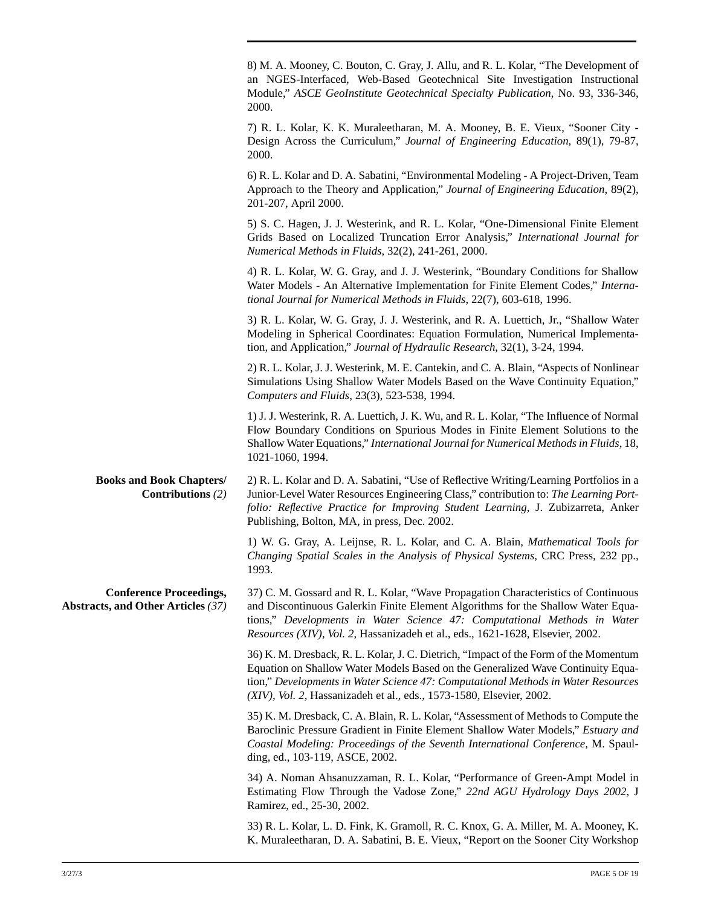|                                                                      | 8) M. A. Mooney, C. Bouton, C. Gray, J. Allu, and R. L. Kolar, "The Development of<br>an NGES-Interfaced, Web-Based Geotechnical Site Investigation Instructional<br>Module," ASCE GeoInstitute Geotechnical Specialty Publication, No. 93, 336-346,<br>2000.                                                                        |
|----------------------------------------------------------------------|--------------------------------------------------------------------------------------------------------------------------------------------------------------------------------------------------------------------------------------------------------------------------------------------------------------------------------------|
|                                                                      | 7) R. L. Kolar, K. K. Muraleetharan, M. A. Mooney, B. E. Vieux, "Sooner City -<br>Design Across the Curriculum," Journal of Engineering Education, 89(1), 79-87,<br>2000.                                                                                                                                                            |
|                                                                      | 6) R. L. Kolar and D. A. Sabatini, "Environmental Modeling - A Project-Driven, Team<br>Approach to the Theory and Application," Journal of Engineering Education, 89(2),<br>201-207, April 2000.                                                                                                                                     |
|                                                                      | 5) S. C. Hagen, J. J. Westerink, and R. L. Kolar, "One-Dimensional Finite Element<br>Grids Based on Localized Truncation Error Analysis," International Journal for<br>Numerical Methods in Fluids, 32(2), 241-261, 2000.                                                                                                            |
|                                                                      | 4) R. L. Kolar, W. G. Gray, and J. J. Westerink, "Boundary Conditions for Shallow<br>Water Models - An Alternative Implementation for Finite Element Codes," Interna-<br>tional Journal for Numerical Methods in Fluids, 22(7), 603-618, 1996.                                                                                       |
|                                                                      | 3) R. L. Kolar, W. G. Gray, J. J. Westerink, and R. A. Luettich, Jr., "Shallow Water<br>Modeling in Spherical Coordinates: Equation Formulation, Numerical Implementa-<br>tion, and Application," Journal of Hydraulic Research, 32(1), 3-24, 1994.                                                                                  |
|                                                                      | 2) R. L. Kolar, J. J. Westerink, M. E. Cantekin, and C. A. Blain, "Aspects of Nonlinear<br>Simulations Using Shallow Water Models Based on the Wave Continuity Equation,"<br>Computers and Fluids, 23(3), 523-538, 1994.                                                                                                             |
|                                                                      | 1) J. J. Westerink, R. A. Luettich, J. K. Wu, and R. L. Kolar, "The Influence of Normal<br>Flow Boundary Conditions on Spurious Modes in Finite Element Solutions to the<br>Shallow Water Equations," International Journal for Numerical Methods in Fluids, 18,<br>1021-1060, 1994.                                                 |
| <b>Books and Book Chapters/</b><br>Contributions $(2)$               | 2) R. L. Kolar and D. A. Sabatini, "Use of Reflective Writing/Learning Portfolios in a<br>Junior-Level Water Resources Engineering Class," contribution to: The Learning Port-<br>folio: Reflective Practice for Improving Student Learning, J. Zubizarreta, Anker<br>Publishing, Bolton, MA, in press, Dec. 2002.                   |
|                                                                      | 1) W. G. Gray, A. Leijnse, R. L. Kolar, and C. A. Blain, Mathematical Tools for<br>Changing Spatial Scales in the Analysis of Physical Systems, CRC Press, 232 pp.,<br>1993.                                                                                                                                                         |
| <b>Conference Proceedings,</b><br>Abstracts, and Other Articles (37) | 37) C. M. Gossard and R. L. Kolar, "Wave Propagation Characteristics of Continuous<br>and Discontinuous Galerkin Finite Element Algorithms for the Shallow Water Equa-<br>tions," Developments in Water Science 47: Computational Methods in Water<br>Resources (XIV), Vol. 2, Hassanizadeh et al., eds., 1621-1628, Elsevier, 2002. |
|                                                                      | 36) K. M. Dresback, R. L. Kolar, J. C. Dietrich, "Impact of the Form of the Momentum<br>Equation on Shallow Water Models Based on the Generalized Wave Continuity Equa-<br>tion," Developments in Water Science 47: Computational Methods in Water Resources<br>(XIV), Vol. 2, Hassanizadeh et al., eds., 1573-1580, Elsevier, 2002. |
|                                                                      | 35) K. M. Dresback, C. A. Blain, R. L. Kolar, "Assessment of Methods to Compute the<br>Baroclinic Pressure Gradient in Finite Element Shallow Water Models," Estuary and<br>Coastal Modeling: Proceedings of the Seventh International Conference, M. Spaul-<br>ding, ed., 103-119, ASCE, 2002.                                      |
|                                                                      | 34) A. Noman Ahsanuzzaman, R. L. Kolar, "Performance of Green-Ampt Model in<br>Estimating Flow Through the Vadose Zone," 22nd AGU Hydrology Days 2002, J<br>Ramirez, ed., 25-30, 2002.                                                                                                                                               |
|                                                                      | 33) R. L. Kolar, L. D. Fink, K. Gramoll, R. C. Knox, G. A. Miller, M. A. Mooney, K.<br>K. Muraleetharan, D. A. Sabatini, B. E. Vieux, "Report on the Sooner City Workshop                                                                                                                                                            |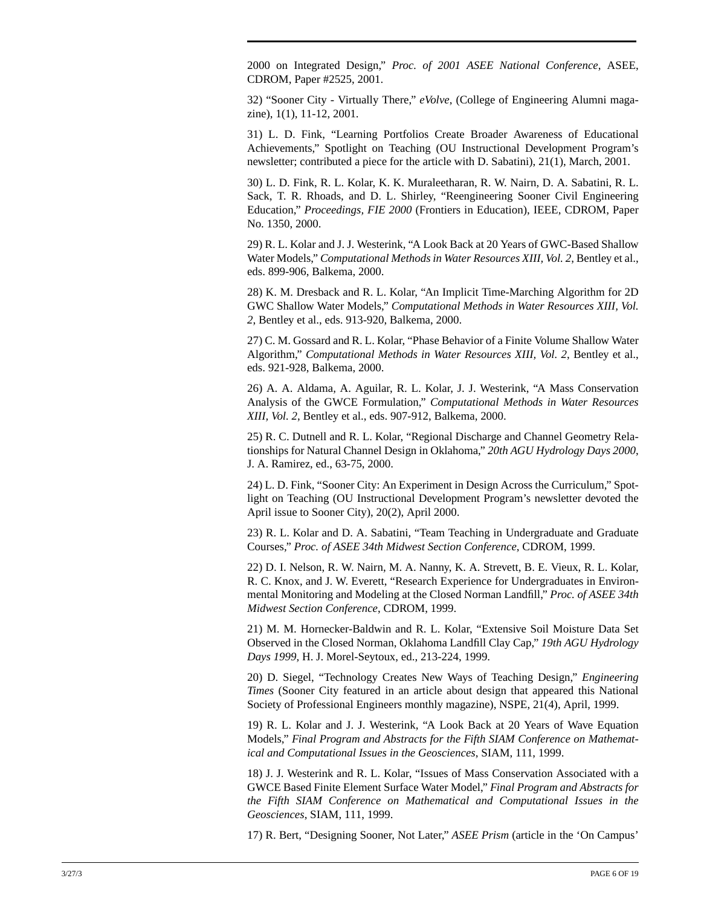2000 on Integrated Design," *Proc. of 2001 ASEE National Conference*, ASEE, CDROM, Paper #2525, 2001.

32) "Sooner City - Virtually There," *eVolve*, (College of Engineering Alumni magazine), 1(1), 11-12, 2001.

31) L. D. Fink, "Learning Portfolios Create Broader Awareness of Educational Achievements," Spotlight on Teaching (OU Instructional Development Program's newsletter; contributed a piece for the article with D. Sabatini), 21(1), March, 2001.

30) L. D. Fink, R. L. Kolar, K. K. Muraleetharan, R. W. Nairn, D. A. Sabatini, R. L. Sack, T. R. Rhoads, and D. L. Shirley, "Reengineering Sooner Civil Engineering Education," *Proceedings, FIE 2000* (Frontiers in Education), IEEE, CDROM, Paper No. 1350, 2000.

29) R. L. Kolar and J. J. Westerink, "A Look Back at 20 Years of GWC-Based Shallow Water Models," *Computational Methods in Water Resources XIII, Vol. 2*, Bentley et al., eds. 899-906, Balkema, 2000.

28) K. M. Dresback and R. L. Kolar, "An Implicit Time-Marching Algorithm for 2D GWC Shallow Water Models," *Computational Methods in Water Resources XIII, Vol. 2*, Bentley et al., eds. 913-920, Balkema, 2000.

27) C. M. Gossard and R. L. Kolar, "Phase Behavior of a Finite Volume Shallow Water Algorithm," *Computational Methods in Water Resources XIII, Vol. 2*, Bentley et al., eds. 921-928, Balkema, 2000.

26) A. A. Aldama, A. Aguilar, R. L. Kolar, J. J. Westerink, "A Mass Conservation Analysis of the GWCE Formulation," *Computational Methods in Water Resources XIII, Vol. 2*, Bentley et al., eds. 907-912, Balkema, 2000.

25) R. C. Dutnell and R. L. Kolar, "Regional Discharge and Channel Geometry Relationships for Natural Channel Design in Oklahoma," *20th AGU Hydrology Days 2000*, J. A. Ramirez, ed., 63-75, 2000.

24) L. D. Fink, "Sooner City: An Experiment in Design Across the Curriculum," Spotlight on Teaching (OU Instructional Development Program's newsletter devoted the April issue to Sooner City), 20(2), April 2000.

23) R. L. Kolar and D. A. Sabatini, "Team Teaching in Undergraduate and Graduate Courses," *Proc. of ASEE 34th Midwest Section Conference*, CDROM, 1999.

22) D. I. Nelson, R. W. Nairn, M. A. Nanny, K. A. Strevett, B. E. Vieux, R. L. Kolar, R. C. Knox, and J. W. Everett, "Research Experience for Undergraduates in Environmental Monitoring and Modeling at the Closed Norman Landfill," *Proc. of ASEE 34th Midwest Section Conference*, CDROM, 1999.

21) M. M. Hornecker-Baldwin and R. L. Kolar, "Extensive Soil Moisture Data Set Observed in the Closed Norman, Oklahoma Landfill Clay Cap," *19th AGU Hydrology Days 1999*, H. J. Morel-Seytoux, ed., 213-224, 1999.

20) D. Siegel, "Technology Creates New Ways of Teaching Design," *Engineering Times* (Sooner City featured in an article about design that appeared this National Society of Professional Engineers monthly magazine), NSPE, 21(4), April, 1999.

19) R. L. Kolar and J. J. Westerink, "A Look Back at 20 Years of Wave Equation Models," *Final Program and Abstracts for the Fifth SIAM Conference on Mathematical and Computational Issues in the Geosciences*, SIAM, 111, 1999.

18) J. J. Westerink and R. L. Kolar, "Issues of Mass Conservation Associated with a GWCE Based Finite Element Surface Water Model," *Final Program and Abstracts for the Fifth SIAM Conference on Mathematical and Computational Issues in the Geosciences*, SIAM, 111, 1999.

17) R. Bert, "Designing Sooner, Not Later," *ASEE Prism* (article in the 'On Campus'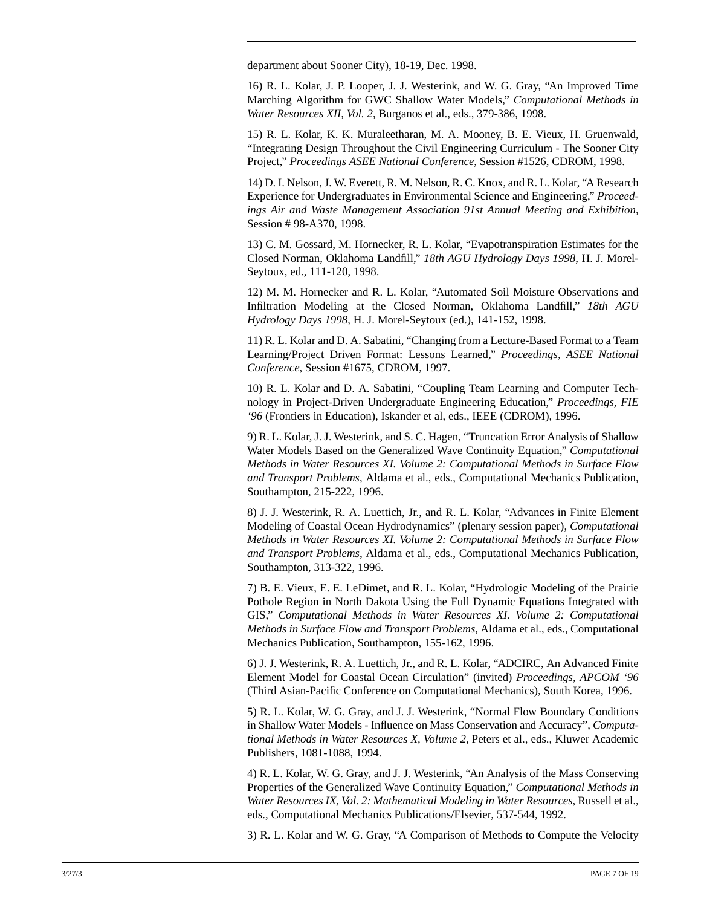department about Sooner City), 18-19, Dec. 1998.

16) R. L. Kolar, J. P. Looper, J. J. Westerink, and W. G. Gray, "An Improved Time Marching Algorithm for GWC Shallow Water Models," *Computational Methods in Water Resources XII, Vol. 2*, Burganos et al., eds., 379-386, 1998.

15) R. L. Kolar, K. K. Muraleetharan, M. A. Mooney, B. E. Vieux, H. Gruenwald, "Integrating Design Throughout the Civil Engineering Curriculum - The Sooner City Project," *Proceedings ASEE National Conference*, Session #1526, CDROM, 1998.

14) D. I. Nelson, J. W. Everett, R. M. Nelson, R. C. Knox, and R. L. Kolar, "A Research Experience for Undergraduates in Environmental Science and Engineering," *Proceedings Air and Waste Management Association 91st Annual Meeting and Exhibition*, Session # 98-A370, 1998.

13) C. M. Gossard, M. Hornecker, R. L. Kolar, "Evapotranspiration Estimates for the Closed Norman, Oklahoma Landfill," *18th AGU Hydrology Days 1998*, H. J. Morel-Seytoux, ed., 111-120, 1998.

12) M. M. Hornecker and R. L. Kolar, "Automated Soil Moisture Observations and Infiltration Modeling at the Closed Norman, Oklahoma Landfill," *18th AGU Hydrology Days 1998*, H. J. Morel-Seytoux (ed.), 141-152, 1998.

11) R. L. Kolar and D. A. Sabatini, "Changing from a Lecture-Based Format to a Team Learning/Project Driven Format: Lessons Learned," *Proceedings, ASEE National Conference*, Session #1675, CDROM, 1997.

10) R. L. Kolar and D. A. Sabatini, "Coupling Team Learning and Computer Technology in Project-Driven Undergraduate Engineering Education," *Proceedings, FIE '96* (Frontiers in Education), Iskander et al, eds., IEEE (CDROM), 1996.

9) R. L. Kolar, J. J. Westerink, and S. C. Hagen, "Truncation Error Analysis of Shallow Water Models Based on the Generalized Wave Continuity Equation," *Computational Methods in Water Resources XI. Volume 2: Computational Methods in Surface Flow and Transport Problems*, Aldama et al., eds., Computational Mechanics Publication, Southampton, 215-222, 1996.

8) J. J. Westerink, R. A. Luettich, Jr., and R. L. Kolar, "Advances in Finite Element Modeling of Coastal Ocean Hydrodynamics" (plenary session paper), *Computational Methods in Water Resources XI. Volume 2: Computational Methods in Surface Flow and Transport Problems*, Aldama et al., eds., Computational Mechanics Publication, Southampton, 313-322, 1996.

7) B. E. Vieux, E. E. LeDimet, and R. L. Kolar, "Hydrologic Modeling of the Prairie Pothole Region in North Dakota Using the Full Dynamic Equations Integrated with GIS," *Computational Methods in Water Resources XI. Volume 2: Computational Methods in Surface Flow and Transport Problems*, Aldama et al., eds., Computational Mechanics Publication, Southampton, 155-162, 1996.

6) J. J. Westerink, R. A. Luettich, Jr., and R. L. Kolar, "ADCIRC, An Advanced Finite Element Model for Coastal Ocean Circulation" (invited) *Proceedings, APCOM '96* (Third Asian-Pacific Conference on Computational Mechanics), South Korea, 1996.

5) R. L. Kolar, W. G. Gray, and J. J. Westerink, "Normal Flow Boundary Conditions in Shallow Water Models - Influence on Mass Conservation and Accuracy", *Computational Methods in Water Resources X, Volume 2*, Peters et al., eds., Kluwer Academic Publishers, 1081-1088, 1994.

4) R. L. Kolar, W. G. Gray, and J. J. Westerink, "An Analysis of the Mass Conserving Properties of the Generalized Wave Continuity Equation," *Computational Methods in Water Resources IX, Vol. 2: Mathematical Modeling in Water Resources*, Russell et al., eds., Computational Mechanics Publications/Elsevier, 537-544, 1992.

3) R. L. Kolar and W. G. Gray, "A Comparison of Methods to Compute the Velocity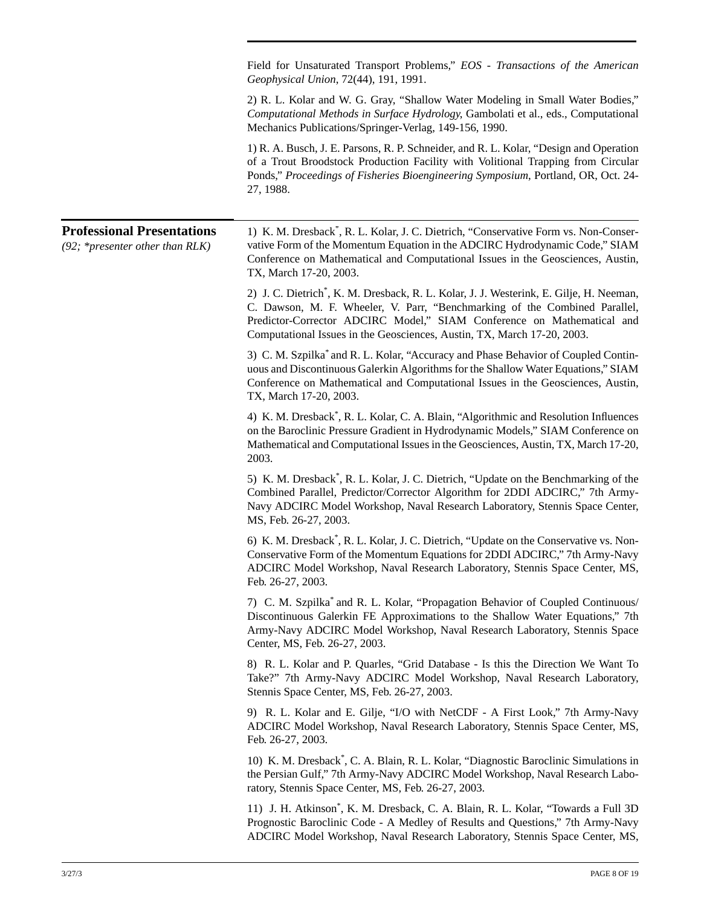Field for Unsaturated Transport Problems," *EOS - Transactions of the American Geophysical Union*, 72(44), 191, 1991. 2) R. L. Kolar and W. G. Gray, "Shallow Water Modeling in Small Water Bodies," *Computational Methods in Surface Hydrology*, Gambolati et al., eds., Computational Mechanics Publications/Springer-Verlag, 149-156, 1990. 1) R. A. Busch, J. E. Parsons, R. P. Schneider, and R. L. Kolar, "Design and Operation of a Trout Broodstock Production Facility with Volitional Trapping from Circular Ponds," *Proceedings of Fisheries Bioengineering Symposium*, Portland, OR, Oct. 24- 27, 1988. **Professional Presentations** *(92; \*presenter other than RLK)* 1) K. M. Dresback\* , R. L. Kolar, J. C. Dietrich, "Conservative Form vs. Non-Conservative Form of the Momentum Equation in the ADCIRC Hydrodynamic Code," SIAM Conference on Mathematical and Computational Issues in the Geosciences, Austin, TX, March 17-20, 2003. 2) J. C. Dietrich\* , K. M. Dresback, R. L. Kolar, J. J. Westerink, E. Gilje, H. Neeman, C. Dawson, M. F. Wheeler, V. Parr, "Benchmarking of the Combined Parallel, Predictor-Corrector ADCIRC Model," SIAM Conference on Mathematical and Computational Issues in the Geosciences, Austin, TX, March 17-20, 2003. 3) C. M. Szpilka\* and R. L. Kolar, "Accuracy and Phase Behavior of Coupled Continuous and Discontinuous Galerkin Algorithms for the Shallow Water Equations," SIAM Conference on Mathematical and Computational Issues in the Geosciences, Austin, TX, March 17-20, 2003. 4) K. M. Dresback\* , R. L. Kolar, C. A. Blain, "Algorithmic and Resolution Influences on the Baroclinic Pressure Gradient in Hydrodynamic Models," SIAM Conference on Mathematical and Computational Issues in the Geosciences, Austin, TX, March 17-20, 2003. 5) K. M. Dresback\* , R. L. Kolar, J. C. Dietrich, "Update on the Benchmarking of the Combined Parallel, Predictor/Corrector Algorithm for 2DDI ADCIRC," 7th Army-Navy ADCIRC Model Workshop, Naval Research Laboratory, Stennis Space Center, MS, Feb. 26-27, 2003. 6) K. M. Dresback\* , R. L. Kolar, J. C. Dietrich, "Update on the Conservative vs. Non-Conservative Form of the Momentum Equations for 2DDI ADCIRC," 7th Army-Navy ADCIRC Model Workshop, Naval Research Laboratory, Stennis Space Center, MS, Feb. 26-27, 2003. 7) C. M. Szpilka\* and R. L. Kolar, "Propagation Behavior of Coupled Continuous/ Discontinuous Galerkin FE Approximations to the Shallow Water Equations," 7th Army-Navy ADCIRC Model Workshop, Naval Research Laboratory, Stennis Space Center, MS, Feb. 26-27, 2003. 8) R. L. Kolar and P. Quarles, "Grid Database - Is this the Direction We Want To Take?" 7th Army-Navy ADCIRC Model Workshop, Naval Research Laboratory, Stennis Space Center, MS, Feb. 26-27, 2003. 9) R. L. Kolar and E. Gilje, "I/O with NetCDF - A First Look," 7th Army-Navy ADCIRC Model Workshop, Naval Research Laboratory, Stennis Space Center, MS, Feb. 26-27, 2003. 10) K. M. Dresback\* , C. A. Blain, R. L. Kolar, "Diagnostic Baroclinic Simulations in the Persian Gulf," 7th Army-Navy ADCIRC Model Workshop, Naval Research Laboratory, Stennis Space Center, MS, Feb. 26-27, 2003. 11) J. H. Atkinson\* , K. M. Dresback, C. A. Blain, R. L. Kolar, "Towards a Full 3D Prognostic Baroclinic Code - A Medley of Results and Questions," 7th Army-Navy

ADCIRC Model Workshop, Naval Research Laboratory, Stennis Space Center, MS,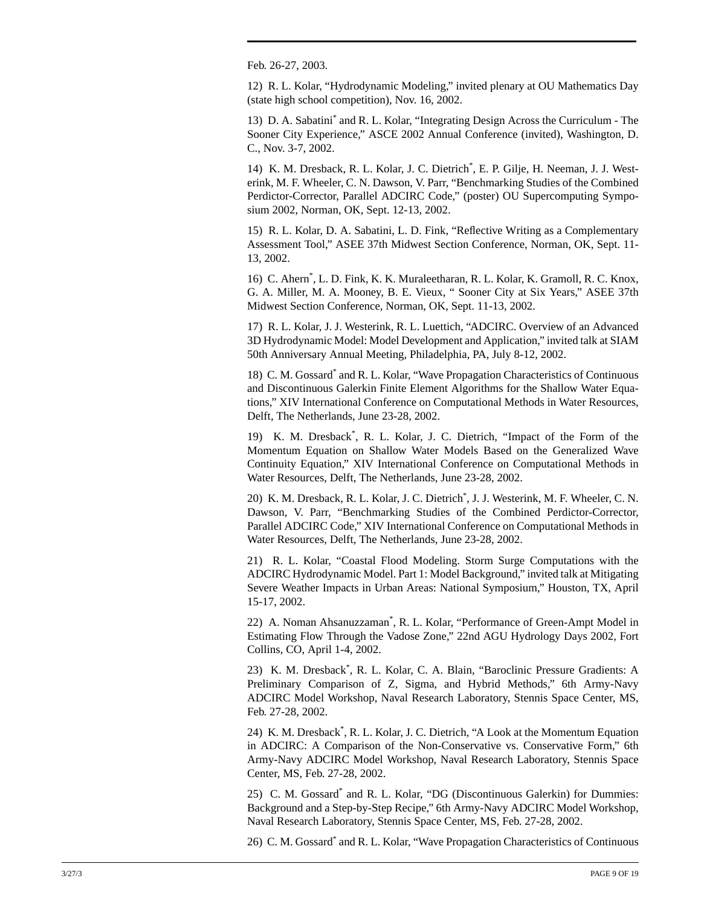Feb. 26-27, 2003.

12) R. L. Kolar, "Hydrodynamic Modeling," invited plenary at OU Mathematics Day (state high school competition), Nov. 16, 2002.

13) D. A. Sabatini\* and R. L. Kolar, "Integrating Design Across the Curriculum - The Sooner City Experience," ASCE 2002 Annual Conference (invited), Washington, D. C., Nov. 3-7, 2002.

14) K. M. Dresback, R. L. Kolar, J. C. Dietrich<sup>\*</sup>, E. P. Gilje, H. Neeman, J. J. Westerink, M. F. Wheeler, C. N. Dawson, V. Parr, "Benchmarking Studies of the Combined Perdictor-Corrector, Parallel ADCIRC Code," (poster) OU Supercomputing Symposium 2002, Norman, OK, Sept. 12-13, 2002.

15) R. L. Kolar, D. A. Sabatini, L. D. Fink, "Reflective Writing as a Complementary Assessment Tool," ASEE 37th Midwest Section Conference, Norman, OK, Sept. 11- 13, 2002.

16) C. Ahern\* , L. D. Fink, K. K. Muraleetharan, R. L. Kolar, K. Gramoll, R. C. Knox, G. A. Miller, M. A. Mooney, B. E. Vieux, " Sooner City at Six Years," ASEE 37th Midwest Section Conference, Norman, OK, Sept. 11-13, 2002.

17) R. L. Kolar, J. J. Westerink, R. L. Luettich, "ADCIRC. Overview of an Advanced 3D Hydrodynamic Model: Model Development and Application," invited talk at SIAM 50th Anniversary Annual Meeting, Philadelphia, PA, July 8-12, 2002.

18) C. M. Gossard\* and R. L. Kolar, "Wave Propagation Characteristics of Continuous and Discontinuous Galerkin Finite Element Algorithms for the Shallow Water Equations," XIV International Conference on Computational Methods in Water Resources, Delft, The Netherlands, June 23-28, 2002.

19) K. M. Dresback\* , R. L. Kolar, J. C. Dietrich, "Impact of the Form of the Momentum Equation on Shallow Water Models Based on the Generalized Wave Continuity Equation," XIV International Conference on Computational Methods in Water Resources, Delft, The Netherlands, June 23-28, 2002.

20) K. M. Dresback, R. L. Kolar, J. C. Dietrich\* , J. J. Westerink, M. F. Wheeler, C. N. Dawson, V. Parr, "Benchmarking Studies of the Combined Perdictor-Corrector, Parallel ADCIRC Code," XIV International Conference on Computational Methods in Water Resources, Delft, The Netherlands, June 23-28, 2002.

21) R. L. Kolar, "Coastal Flood Modeling. Storm Surge Computations with the ADCIRC Hydrodynamic Model. Part 1: Model Background," invited talk at Mitigating Severe Weather Impacts in Urban Areas: National Symposium," Houston, TX, April 15-17, 2002.

22) A. Noman Ahsanuzzaman\* , R. L. Kolar, "Performance of Green-Ampt Model in Estimating Flow Through the Vadose Zone," 22nd AGU Hydrology Days 2002, Fort Collins, CO, April 1-4, 2002.

23) K. M. Dresback\* , R. L. Kolar, C. A. Blain, "Baroclinic Pressure Gradients: A Preliminary Comparison of Z, Sigma, and Hybrid Methods," 6th Army-Navy ADCIRC Model Workshop, Naval Research Laboratory, Stennis Space Center, MS, Feb. 27-28, 2002.

24) K. M. Dresback\* , R. L. Kolar, J. C. Dietrich, "A Look at the Momentum Equation in ADCIRC: A Comparison of the Non-Conservative vs. Conservative Form," 6th Army-Navy ADCIRC Model Workshop, Naval Research Laboratory, Stennis Space Center, MS, Feb. 27-28, 2002.

25) C. M. Gossard\* and R. L. Kolar, "DG (Discontinuous Galerkin) for Dummies: Background and a Step-by-Step Recipe," 6th Army-Navy ADCIRC Model Workshop, Naval Research Laboratory, Stennis Space Center, MS, Feb. 27-28, 2002.

26) C. M. Gossard\* and R. L. Kolar, "Wave Propagation Characteristics of Continuous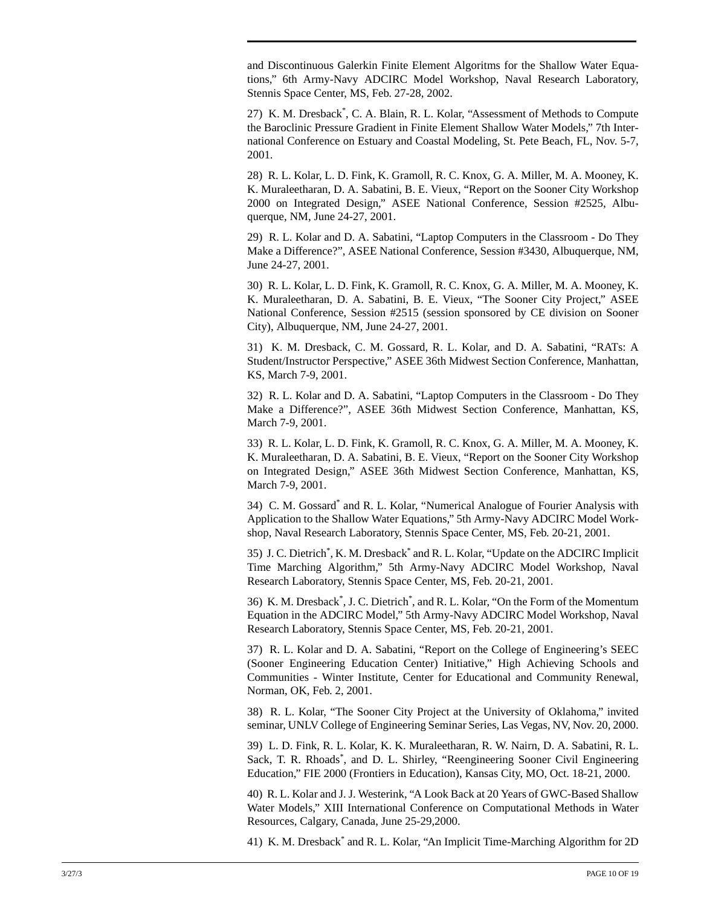and Discontinuous Galerkin Finite Element Algoritms for the Shallow Water Equations," 6th Army-Navy ADCIRC Model Workshop, Naval Research Laboratory, Stennis Space Center, MS, Feb. 27-28, 2002.

27) K. M. Dresback\* , C. A. Blain, R. L. Kolar, "Assessment of Methods to Compute the Baroclinic Pressure Gradient in Finite Element Shallow Water Models," 7th International Conference on Estuary and Coastal Modeling, St. Pete Beach, FL, Nov. 5-7, 2001.

28) R. L. Kolar, L. D. Fink, K. Gramoll, R. C. Knox, G. A. Miller, M. A. Mooney, K. K. Muraleetharan, D. A. Sabatini, B. E. Vieux, "Report on the Sooner City Workshop 2000 on Integrated Design," ASEE National Conference, Session #2525, Albuquerque, NM, June 24-27, 2001.

29) R. L. Kolar and D. A. Sabatini, "Laptop Computers in the Classroom - Do They Make a Difference?", ASEE National Conference, Session #3430, Albuquerque, NM, June 24-27, 2001.

30) R. L. Kolar, L. D. Fink, K. Gramoll, R. C. Knox, G. A. Miller, M. A. Mooney, K. K. Muraleetharan, D. A. Sabatini, B. E. Vieux, "The Sooner City Project," ASEE National Conference, Session #2515 (session sponsored by CE division on Sooner City), Albuquerque, NM, June 24-27, 2001.

31) K. M. Dresback, C. M. Gossard, R. L. Kolar, and D. A. Sabatini, "RATs: A Student/Instructor Perspective," ASEE 36th Midwest Section Conference, Manhattan, KS, March 7-9, 2001.

32) R. L. Kolar and D. A. Sabatini, "Laptop Computers in the Classroom - Do They Make a Difference?", ASEE 36th Midwest Section Conference, Manhattan, KS, March 7-9, 2001.

33) R. L. Kolar, L. D. Fink, K. Gramoll, R. C. Knox, G. A. Miller, M. A. Mooney, K. K. Muraleetharan, D. A. Sabatini, B. E. Vieux, "Report on the Sooner City Workshop on Integrated Design," ASEE 36th Midwest Section Conference, Manhattan, KS, March 7-9, 2001.

34) C. M. Gossard\* and R. L. Kolar, "Numerical Analogue of Fourier Analysis with Application to the Shallow Water Equations," 5th Army-Navy ADCIRC Model Workshop, Naval Research Laboratory, Stennis Space Center, MS, Feb. 20-21, 2001.

35) J. C. Dietrich\* , K. M. Dresback\* and R. L. Kolar, "Update on the ADCIRC Implicit Time Marching Algorithm," 5th Army-Navy ADCIRC Model Workshop, Naval Research Laboratory, Stennis Space Center, MS, Feb. 20-21, 2001.

36) K. M. Dresback\* , J. C. Dietrich\* , and R. L. Kolar, "On the Form of the Momentum Equation in the ADCIRC Model," 5th Army-Navy ADCIRC Model Workshop, Naval Research Laboratory, Stennis Space Center, MS, Feb. 20-21, 2001.

37) R. L. Kolar and D. A. Sabatini, "Report on the College of Engineering's SEEC (Sooner Engineering Education Center) Initiative," High Achieving Schools and Communities - Winter Institute, Center for Educational and Community Renewal, Norman, OK, Feb. 2, 2001.

38) R. L. Kolar, "The Sooner City Project at the University of Oklahoma," invited seminar, UNLV College of Engineering Seminar Series, Las Vegas, NV, Nov. 20, 2000.

39) L. D. Fink, R. L. Kolar, K. K. Muraleetharan, R. W. Nairn, D. A. Sabatini, R. L. Sack, T. R. Rhoads<sup>\*</sup>, and D. L. Shirley, "Reengineering Sooner Civil Engineering Education," FIE 2000 (Frontiers in Education), Kansas City, MO, Oct. 18-21, 2000.

40) R. L. Kolar and J. J. Westerink, "A Look Back at 20 Years of GWC-Based Shallow Water Models," XIII International Conference on Computational Methods in Water Resources, Calgary, Canada, June 25-29,2000.

41) K. M. Dresback\* and R. L. Kolar, "An Implicit Time-Marching Algorithm for 2D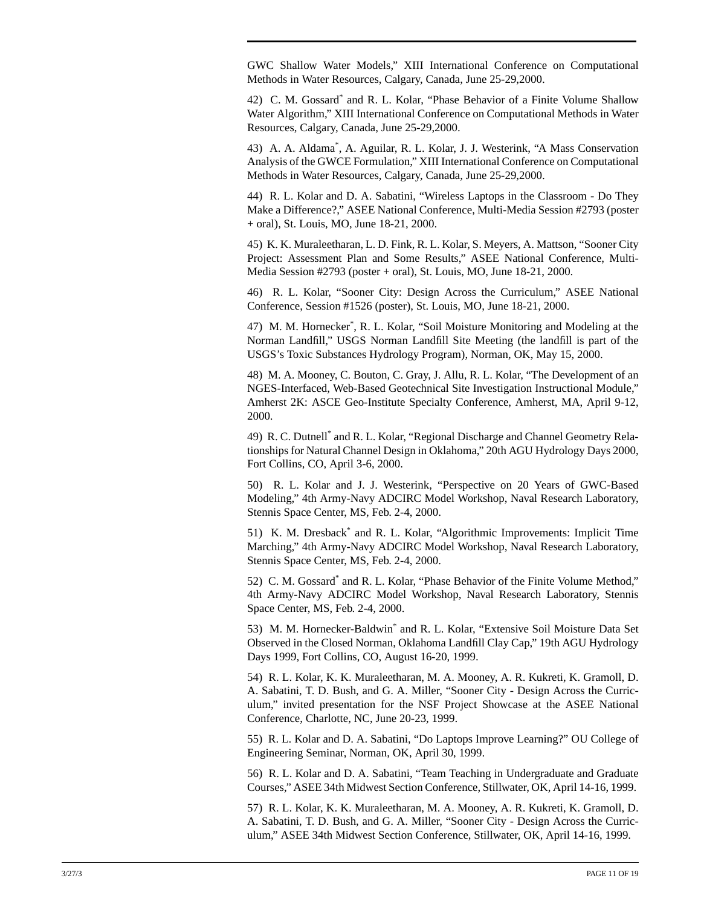GWC Shallow Water Models," XIII International Conference on Computational Methods in Water Resources, Calgary, Canada, June 25-29,2000.

42) C. M. Gossard\* and R. L. Kolar, "Phase Behavior of a Finite Volume Shallow Water Algorithm," XIII International Conference on Computational Methods in Water Resources, Calgary, Canada, June 25-29,2000.

43) A. A. Aldama\* , A. Aguilar, R. L. Kolar, J. J. Westerink, "A Mass Conservation Analysis of the GWCE Formulation," XIII International Conference on Computational Methods in Water Resources, Calgary, Canada, June 25-29,2000.

44) R. L. Kolar and D. A. Sabatini, "Wireless Laptops in the Classroom - Do They Make a Difference?," ASEE National Conference, Multi-Media Session #2793 (poster + oral), St. Louis, MO, June 18-21, 2000.

45) K. K. Muraleetharan, L. D. Fink, R. L. Kolar, S. Meyers, A. Mattson, "Sooner City Project: Assessment Plan and Some Results," ASEE National Conference, Multi-Media Session #2793 (poster + oral), St. Louis, MO, June 18-21, 2000.

46) R. L. Kolar, "Sooner City: Design Across the Curriculum," ASEE National Conference, Session #1526 (poster), St. Louis, MO, June 18-21, 2000.

47) M. M. Hornecker\* , R. L. Kolar, "Soil Moisture Monitoring and Modeling at the Norman Landfill," USGS Norman Landfill Site Meeting (the landfill is part of the USGS's Toxic Substances Hydrology Program), Norman, OK, May 15, 2000.

48) M. A. Mooney, C. Bouton, C. Gray, J. Allu, R. L. Kolar, "The Development of an NGES-Interfaced, Web-Based Geotechnical Site Investigation Instructional Module," Amherst 2K: ASCE Geo-Institute Specialty Conference, Amherst, MA, April 9-12, 2000.

49) R. C. Dutnell\* and R. L. Kolar, "Regional Discharge and Channel Geometry Relationships for Natural Channel Design in Oklahoma," 20th AGU Hydrology Days 2000, Fort Collins, CO, April 3-6, 2000.

50) R. L. Kolar and J. J. Westerink, "Perspective on 20 Years of GWC-Based Modeling," 4th Army-Navy ADCIRC Model Workshop, Naval Research Laboratory, Stennis Space Center, MS, Feb. 2-4, 2000.

51) K. M. Dresback<sup>\*</sup> and R. L. Kolar, "Algorithmic Improvements: Implicit Time Marching," 4th Army-Navy ADCIRC Model Workshop, Naval Research Laboratory, Stennis Space Center, MS, Feb. 2-4, 2000.

52) C. M. Gossard<sup>\*</sup> and R. L. Kolar, "Phase Behavior of the Finite Volume Method," 4th Army-Navy ADCIRC Model Workshop, Naval Research Laboratory, Stennis Space Center, MS, Feb. 2-4, 2000.

53) M. M. Hornecker-Baldwin\* and R. L. Kolar, "Extensive Soil Moisture Data Set Observed in the Closed Norman, Oklahoma Landfill Clay Cap," 19th AGU Hydrology Days 1999, Fort Collins, CO, August 16-20, 1999.

54) R. L. Kolar, K. K. Muraleetharan, M. A. Mooney, A. R. Kukreti, K. Gramoll, D. A. Sabatini, T. D. Bush, and G. A. Miller, "Sooner City - Design Across the Curriculum," invited presentation for the NSF Project Showcase at the ASEE National Conference, Charlotte, NC, June 20-23, 1999.

55) R. L. Kolar and D. A. Sabatini, "Do Laptops Improve Learning?" OU College of Engineering Seminar, Norman, OK, April 30, 1999.

56) R. L. Kolar and D. A. Sabatini, "Team Teaching in Undergraduate and Graduate Courses," ASEE 34th Midwest Section Conference, Stillwater, OK, April 14-16, 1999.

57) R. L. Kolar, K. K. Muraleetharan, M. A. Mooney, A. R. Kukreti, K. Gramoll, D. A. Sabatini, T. D. Bush, and G. A. Miller, "Sooner City - Design Across the Curriculum," ASEE 34th Midwest Section Conference, Stillwater, OK, April 14-16, 1999.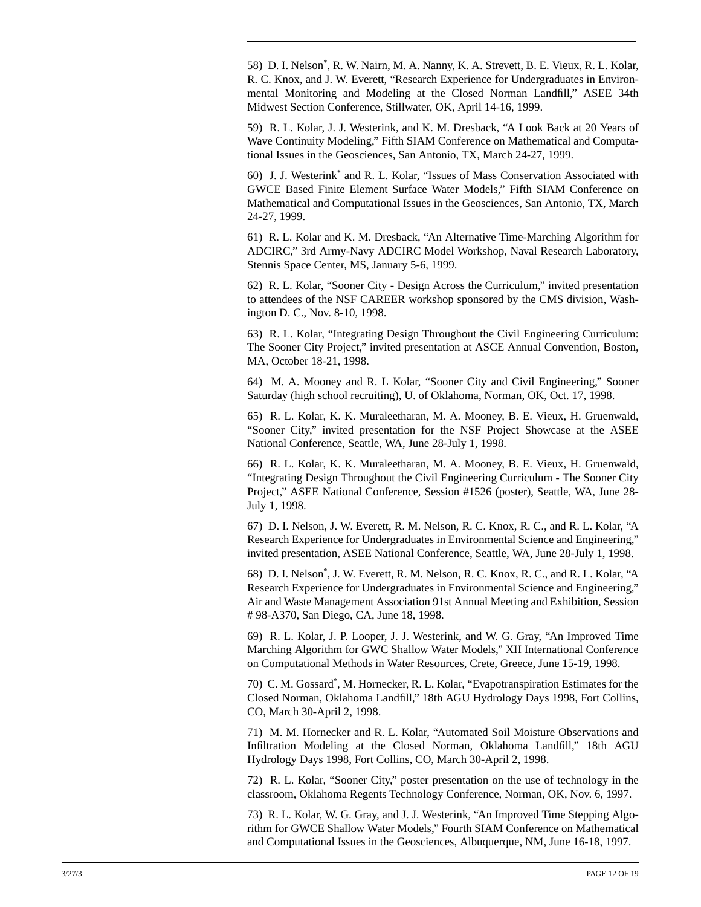58) D. I. Nelson\* , R. W. Nairn, M. A. Nanny, K. A. Strevett, B. E. Vieux, R. L. Kolar, R. C. Knox, and J. W. Everett, "Research Experience for Undergraduates in Environmental Monitoring and Modeling at the Closed Norman Landfill," ASEE 34th Midwest Section Conference, Stillwater, OK, April 14-16, 1999.

59) R. L. Kolar, J. J. Westerink, and K. M. Dresback, "A Look Back at 20 Years of Wave Continuity Modeling," Fifth SIAM Conference on Mathematical and Computational Issues in the Geosciences, San Antonio, TX, March 24-27, 1999.

60) J. J. Westerink\* and R. L. Kolar, "Issues of Mass Conservation Associated with GWCE Based Finite Element Surface Water Models," Fifth SIAM Conference on Mathematical and Computational Issues in the Geosciences, San Antonio, TX, March 24-27, 1999.

61) R. L. Kolar and K. M. Dresback, "An Alternative Time-Marching Algorithm for ADCIRC," 3rd Army-Navy ADCIRC Model Workshop, Naval Research Laboratory, Stennis Space Center, MS, January 5-6, 1999.

62) R. L. Kolar, "Sooner City - Design Across the Curriculum," invited presentation to attendees of the NSF CAREER workshop sponsored by the CMS division, Washington D. C., Nov. 8-10, 1998.

63) R. L. Kolar, "Integrating Design Throughout the Civil Engineering Curriculum: The Sooner City Project," invited presentation at ASCE Annual Convention, Boston, MA, October 18-21, 1998.

64) M. A. Mooney and R. L Kolar, "Sooner City and Civil Engineering," Sooner Saturday (high school recruiting), U. of Oklahoma, Norman, OK, Oct. 17, 1998.

65) R. L. Kolar, K. K. Muraleetharan, M. A. Mooney, B. E. Vieux, H. Gruenwald, "Sooner City," invited presentation for the NSF Project Showcase at the ASEE National Conference, Seattle, WA, June 28-July 1, 1998.

66) R. L. Kolar, K. K. Muraleetharan, M. A. Mooney, B. E. Vieux, H. Gruenwald, "Integrating Design Throughout the Civil Engineering Curriculum - The Sooner City Project," ASEE National Conference, Session #1526 (poster), Seattle, WA, June 28- July 1, 1998.

67) D. I. Nelson, J. W. Everett, R. M. Nelson, R. C. Knox, R. C., and R. L. Kolar, "A Research Experience for Undergraduates in Environmental Science and Engineering," invited presentation, ASEE National Conference, Seattle, WA, June 28-July 1, 1998.

68) D. I. Nelson\* , J. W. Everett, R. M. Nelson, R. C. Knox, R. C., and R. L. Kolar, "A Research Experience for Undergraduates in Environmental Science and Engineering," Air and Waste Management Association 91st Annual Meeting and Exhibition, Session # 98-A370, San Diego, CA, June 18, 1998.

69) R. L. Kolar, J. P. Looper, J. J. Westerink, and W. G. Gray, "An Improved Time Marching Algorithm for GWC Shallow Water Models," XII International Conference on Computational Methods in Water Resources, Crete, Greece, June 15-19, 1998.

70) C. M. Gossard\* , M. Hornecker, R. L. Kolar, "Evapotranspiration Estimates for the Closed Norman, Oklahoma Landfill," 18th AGU Hydrology Days 1998, Fort Collins, CO, March 30-April 2, 1998.

71) M. M. Hornecker and R. L. Kolar, "Automated Soil Moisture Observations and Infiltration Modeling at the Closed Norman, Oklahoma Landfill," 18th AGU Hydrology Days 1998, Fort Collins, CO, March 30-April 2, 1998.

72) R. L. Kolar, "Sooner City," poster presentation on the use of technology in the classroom, Oklahoma Regents Technology Conference, Norman, OK, Nov. 6, 1997.

73) R. L. Kolar, W. G. Gray, and J. J. Westerink, "An Improved Time Stepping Algorithm for GWCE Shallow Water Models," Fourth SIAM Conference on Mathematical and Computational Issues in the Geosciences, Albuquerque, NM, June 16-18, 1997.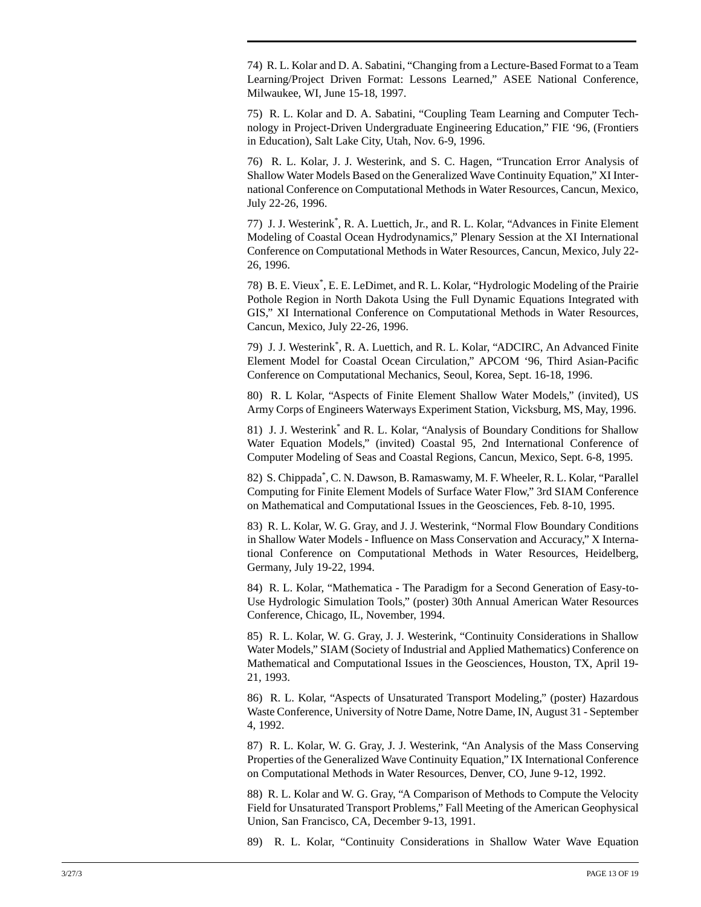74) R. L. Kolar and D. A. Sabatini, "Changing from a Lecture-Based Format to a Team Learning/Project Driven Format: Lessons Learned," ASEE National Conference, Milwaukee, WI, June 15-18, 1997.

75) R. L. Kolar and D. A. Sabatini, "Coupling Team Learning and Computer Technology in Project-Driven Undergraduate Engineering Education," FIE '96, (Frontiers in Education), Salt Lake City, Utah, Nov. 6-9, 1996.

76) R. L. Kolar, J. J. Westerink, and S. C. Hagen, "Truncation Error Analysis of Shallow Water Models Based on the Generalized Wave Continuity Equation," XI International Conference on Computational Methods in Water Resources, Cancun, Mexico, July 22-26, 1996.

77) J. J. Westerink\* , R. A. Luettich, Jr., and R. L. Kolar, "Advances in Finite Element Modeling of Coastal Ocean Hydrodynamics," Plenary Session at the XI International Conference on Computational Methods in Water Resources, Cancun, Mexico, July 22- 26, 1996.

78) B. E. Vieux\* , E. E. LeDimet, and R. L. Kolar, "Hydrologic Modeling of the Prairie Pothole Region in North Dakota Using the Full Dynamic Equations Integrated with GIS," XI International Conference on Computational Methods in Water Resources, Cancun, Mexico, July 22-26, 1996.

79) J. J. Westerink\* , R. A. Luettich, and R. L. Kolar, "ADCIRC, An Advanced Finite Element Model for Coastal Ocean Circulation," APCOM '96, Third Asian-Pacific Conference on Computational Mechanics, Seoul, Korea, Sept. 16-18, 1996.

80) R. L Kolar, "Aspects of Finite Element Shallow Water Models," (invited), US Army Corps of Engineers Waterways Experiment Station, Vicksburg, MS, May, 1996.

81) J. J. Westerink\* and R. L. Kolar, "Analysis of Boundary Conditions for Shallow Water Equation Models," (invited) Coastal 95, 2nd International Conference of Computer Modeling of Seas and Coastal Regions, Cancun, Mexico, Sept. 6-8, 1995.

82) S. Chippada\* , C. N. Dawson, B. Ramaswamy, M. F. Wheeler, R. L. Kolar, "Parallel Computing for Finite Element Models of Surface Water Flow," 3rd SIAM Conference on Mathematical and Computational Issues in the Geosciences, Feb. 8-10, 1995.

83) R. L. Kolar, W. G. Gray, and J. J. Westerink, "Normal Flow Boundary Conditions in Shallow Water Models - Influence on Mass Conservation and Accuracy," X International Conference on Computational Methods in Water Resources, Heidelberg, Germany, July 19-22, 1994.

84) R. L. Kolar, "Mathematica - The Paradigm for a Second Generation of Easy-to-Use Hydrologic Simulation Tools," (poster) 30th Annual American Water Resources Conference, Chicago, IL, November, 1994.

85) R. L. Kolar, W. G. Gray, J. J. Westerink, "Continuity Considerations in Shallow Water Models," SIAM (Society of Industrial and Applied Mathematics) Conference on Mathematical and Computational Issues in the Geosciences, Houston, TX, April 19- 21, 1993.

86) R. L. Kolar, "Aspects of Unsaturated Transport Modeling," (poster) Hazardous Waste Conference, University of Notre Dame, Notre Dame, IN, August 31 - September 4, 1992.

87) R. L. Kolar, W. G. Gray, J. J. Westerink, "An Analysis of the Mass Conserving Properties of the Generalized Wave Continuity Equation," IX International Conference on Computational Methods in Water Resources, Denver, CO, June 9-12, 1992.

88) R. L. Kolar and W. G. Gray, "A Comparison of Methods to Compute the Velocity Field for Unsaturated Transport Problems," Fall Meeting of the American Geophysical Union, San Francisco, CA, December 9-13, 1991.

89) R. L. Kolar, "Continuity Considerations in Shallow Water Wave Equation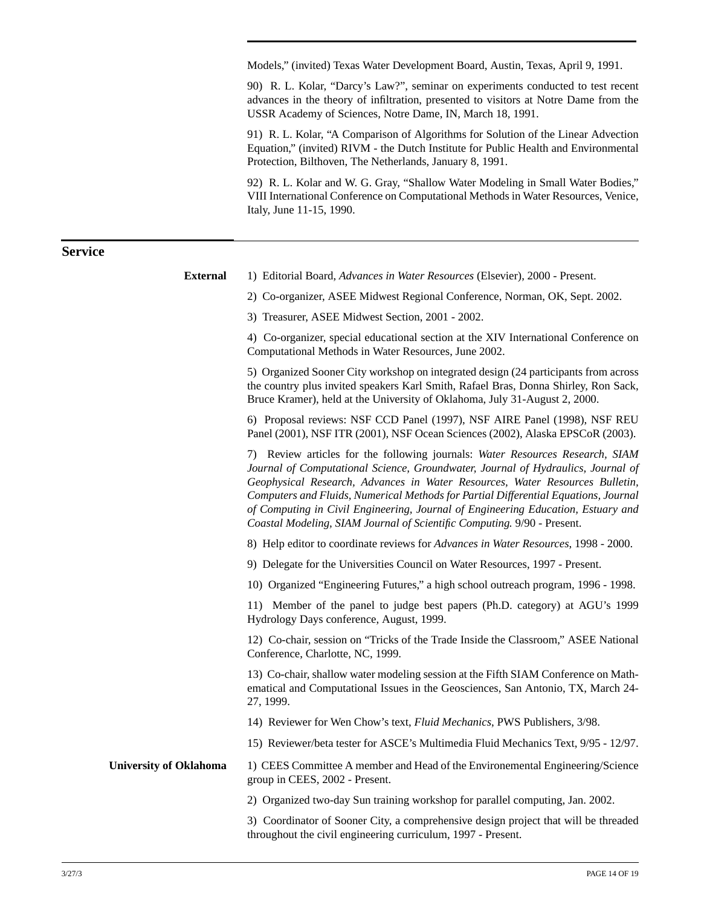Models," (invited) Texas Water Development Board, Austin, Texas, April 9, 1991.

90) R. L. Kolar, "Darcy's Law?", seminar on experiments conducted to test recent advances in the theory of infiltration, presented to visitors at Notre Dame from the USSR Academy of Sciences, Notre Dame, IN, March 18, 1991.

91) R. L. Kolar, "A Comparison of Algorithms for Solution of the Linear Advection Equation," (invited) RIVM - the Dutch Institute for Public Health and Environmental Protection, Bilthoven, The Netherlands, January 8, 1991.

92) R. L. Kolar and W. G. Gray, "Shallow Water Modeling in Small Water Bodies," VIII International Conference on Computational Methods in Water Resources, Venice, Italy, June 11-15, 1990.

### **Service**

| <b>External</b>               | 1) Editorial Board, Advances in Water Resources (Elsevier), 2000 - Present.                                                                                                                                                                                                                                                                                                                                                                                                                             |
|-------------------------------|---------------------------------------------------------------------------------------------------------------------------------------------------------------------------------------------------------------------------------------------------------------------------------------------------------------------------------------------------------------------------------------------------------------------------------------------------------------------------------------------------------|
|                               | 2) Co-organizer, ASEE Midwest Regional Conference, Norman, OK, Sept. 2002.                                                                                                                                                                                                                                                                                                                                                                                                                              |
|                               | 3) Treasurer, ASEE Midwest Section, 2001 - 2002.                                                                                                                                                                                                                                                                                                                                                                                                                                                        |
|                               | 4) Co-organizer, special educational section at the XIV International Conference on<br>Computational Methods in Water Resources, June 2002.                                                                                                                                                                                                                                                                                                                                                             |
|                               | 5) Organized Sooner City workshop on integrated design (24 participants from across<br>the country plus invited speakers Karl Smith, Rafael Bras, Donna Shirley, Ron Sack,<br>Bruce Kramer), held at the University of Oklahoma, July 31-August 2, 2000.                                                                                                                                                                                                                                                |
|                               | 6) Proposal reviews: NSF CCD Panel (1997), NSF AIRE Panel (1998), NSF REU<br>Panel (2001), NSF ITR (2001), NSF Ocean Sciences (2002), Alaska EPSCoR (2003).                                                                                                                                                                                                                                                                                                                                             |
|                               | 7) Review articles for the following journals: Water Resources Research, SIAM<br>Journal of Computational Science, Groundwater, Journal of Hydraulics, Journal of<br>Geophysical Research, Advances in Water Resources, Water Resources Bulletin,<br>Computers and Fluids, Numerical Methods for Partial Differential Equations, Journal<br>of Computing in Civil Engineering, Journal of Engineering Education, Estuary and<br>Coastal Modeling, SIAM Journal of Scientific Computing. 9/90 - Present. |
|                               | 8) Help editor to coordinate reviews for Advances in Water Resources, 1998 - 2000.                                                                                                                                                                                                                                                                                                                                                                                                                      |
|                               | 9) Delegate for the Universities Council on Water Resources, 1997 - Present.                                                                                                                                                                                                                                                                                                                                                                                                                            |
|                               | 10) Organized "Engineering Futures," a high school outreach program, 1996 - 1998.                                                                                                                                                                                                                                                                                                                                                                                                                       |
|                               | 11) Member of the panel to judge best papers (Ph.D. category) at AGU's 1999<br>Hydrology Days conference, August, 1999.                                                                                                                                                                                                                                                                                                                                                                                 |
|                               | 12) Co-chair, session on "Tricks of the Trade Inside the Classroom," ASEE National<br>Conference, Charlotte, NC, 1999.                                                                                                                                                                                                                                                                                                                                                                                  |
|                               | 13) Co-chair, shallow water modeling session at the Fifth SIAM Conference on Math-<br>ematical and Computational Issues in the Geosciences, San Antonio, TX, March 24-<br>27, 1999.                                                                                                                                                                                                                                                                                                                     |
|                               | 14) Reviewer for Wen Chow's text, Fluid Mechanics, PWS Publishers, 3/98.                                                                                                                                                                                                                                                                                                                                                                                                                                |
|                               | 15) Reviewer/beta tester for ASCE's Multimedia Fluid Mechanics Text, 9/95 - 12/97.                                                                                                                                                                                                                                                                                                                                                                                                                      |
| <b>University of Oklahoma</b> | 1) CEES Committee A member and Head of the Environemental Engineering/Science<br>group in CEES, 2002 - Present.                                                                                                                                                                                                                                                                                                                                                                                         |
|                               | 2) Organized two-day Sun training workshop for parallel computing, Jan. 2002.                                                                                                                                                                                                                                                                                                                                                                                                                           |
|                               | 3) Coordinator of Sooner City, a comprehensive design project that will be threaded<br>throughout the civil engineering curriculum, 1997 - Present.                                                                                                                                                                                                                                                                                                                                                     |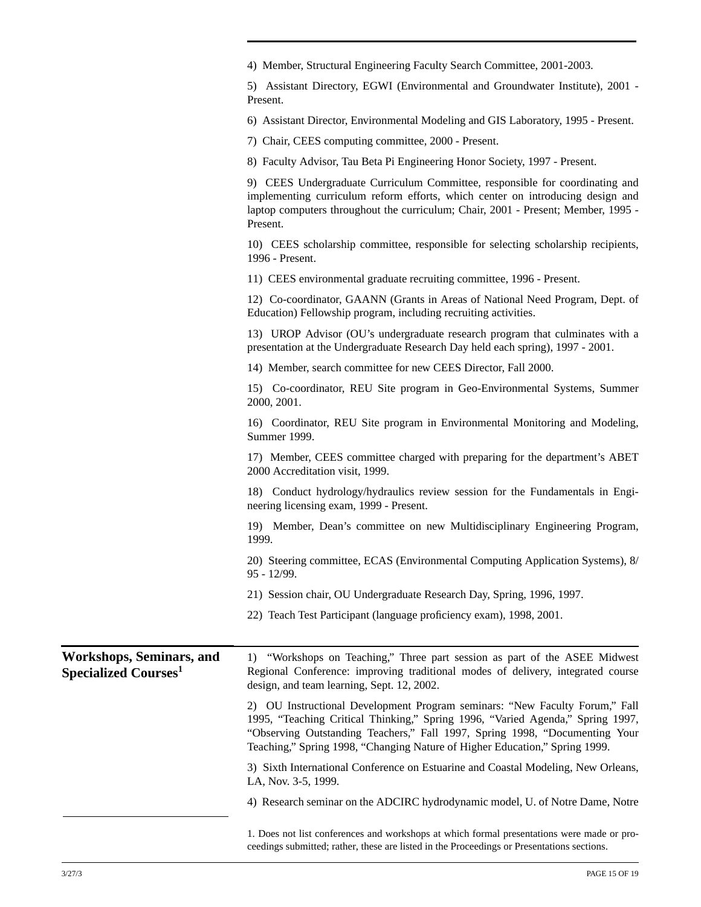|                                                                     | 4) Member, Structural Engineering Faculty Search Committee, 2001-2003.                                                                                                                                                                                                                                                      |
|---------------------------------------------------------------------|-----------------------------------------------------------------------------------------------------------------------------------------------------------------------------------------------------------------------------------------------------------------------------------------------------------------------------|
|                                                                     | 5) Assistant Directory, EGWI (Environmental and Groundwater Institute), 2001 -<br>Present.                                                                                                                                                                                                                                  |
|                                                                     | 6) Assistant Director, Environmental Modeling and GIS Laboratory, 1995 - Present.                                                                                                                                                                                                                                           |
|                                                                     | 7) Chair, CEES computing committee, 2000 - Present.                                                                                                                                                                                                                                                                         |
|                                                                     | 8) Faculty Advisor, Tau Beta Pi Engineering Honor Society, 1997 - Present.                                                                                                                                                                                                                                                  |
|                                                                     | 9) CEES Undergraduate Curriculum Committee, responsible for coordinating and<br>implementing curriculum reform efforts, which center on introducing design and<br>laptop computers throughout the curriculum; Chair, 2001 - Present; Member, 1995 -<br>Present.                                                             |
|                                                                     | 10) CEES scholarship committee, responsible for selecting scholarship recipients,<br>1996 - Present.                                                                                                                                                                                                                        |
|                                                                     | 11) CEES environmental graduate recruiting committee, 1996 - Present.                                                                                                                                                                                                                                                       |
|                                                                     | 12) Co-coordinator, GAANN (Grants in Areas of National Need Program, Dept. of<br>Education) Fellowship program, including recruiting activities.                                                                                                                                                                            |
|                                                                     | 13) UROP Advisor (OU's undergraduate research program that culminates with a<br>presentation at the Undergraduate Research Day held each spring), 1997 - 2001.                                                                                                                                                              |
|                                                                     | 14) Member, search committee for new CEES Director, Fall 2000.                                                                                                                                                                                                                                                              |
|                                                                     | 15) Co-coordinator, REU Site program in Geo-Environmental Systems, Summer<br>2000, 2001.                                                                                                                                                                                                                                    |
|                                                                     | 16) Coordinator, REU Site program in Environmental Monitoring and Modeling,<br>Summer 1999.                                                                                                                                                                                                                                 |
|                                                                     | 17) Member, CEES committee charged with preparing for the department's ABET<br>2000 Accreditation visit, 1999.                                                                                                                                                                                                              |
|                                                                     | 18) Conduct hydrology/hydraulics review session for the Fundamentals in Engi-<br>neering licensing exam, 1999 - Present.                                                                                                                                                                                                    |
|                                                                     | 19) Member, Dean's committee on new Multidisciplinary Engineering Program,<br>1999.                                                                                                                                                                                                                                         |
|                                                                     | 20) Steering committee, ECAS (Environmental Computing Application Systems), 8/<br>95 - 12/99.                                                                                                                                                                                                                               |
|                                                                     | 21) Session chair, OU Undergraduate Research Day, Spring, 1996, 1997.                                                                                                                                                                                                                                                       |
|                                                                     | 22) Teach Test Participant (language proficiency exam), 1998, 2001.                                                                                                                                                                                                                                                         |
| <b>Workshops, Seminars, and</b><br>Specialized Courses <sup>1</sup> | "Workshops on Teaching," Three part session as part of the ASEE Midwest<br>1)<br>Regional Conference: improving traditional modes of delivery, integrated course<br>design, and team learning, Sept. 12, 2002.                                                                                                              |
|                                                                     | 2) OU Instructional Development Program seminars: "New Faculty Forum," Fall<br>1995, "Teaching Critical Thinking," Spring 1996, "Varied Agenda," Spring 1997,<br>"Observing Outstanding Teachers," Fall 1997, Spring 1998, "Documenting Your<br>Teaching," Spring 1998, "Changing Nature of Higher Education," Spring 1999. |
|                                                                     | 3) Sixth International Conference on Estuarine and Coastal Modeling, New Orleans,<br>LA, Nov. 3-5, 1999.                                                                                                                                                                                                                    |
|                                                                     | 4) Research seminar on the ADCIRC hydrodynamic model, U. of Notre Dame, Notre                                                                                                                                                                                                                                               |
|                                                                     |                                                                                                                                                                                                                                                                                                                             |

1. Does not list conferences and workshops at which formal presentations were made or proceedings submitted; rather, these are listed in the Proceedings or Presentations sections.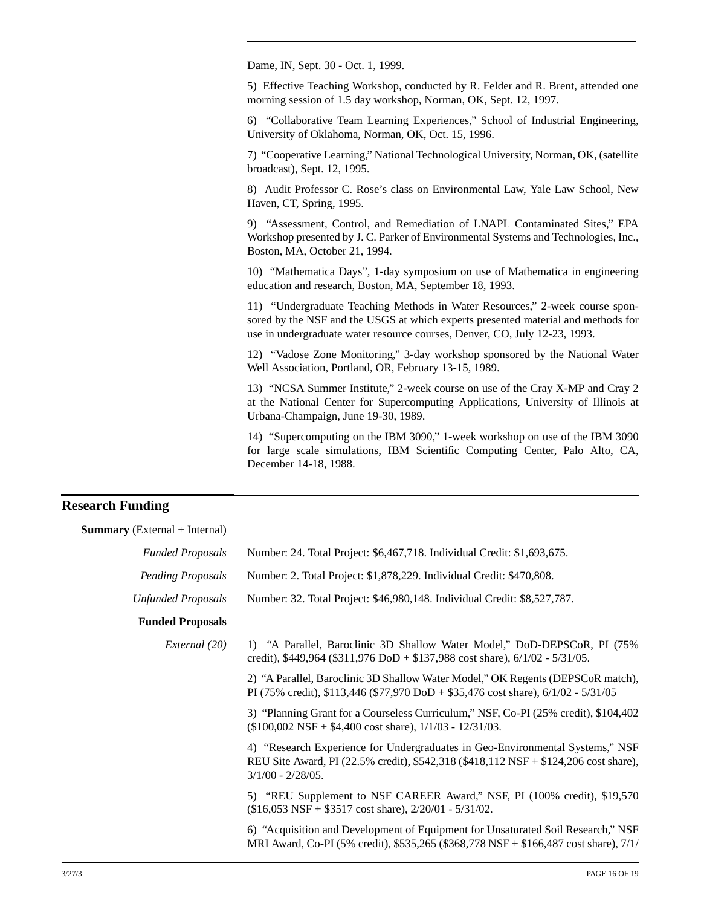Dame, IN, Sept. 30 - Oct. 1, 1999.

5) Effective Teaching Workshop, conducted by R. Felder and R. Brent, attended one morning session of 1.5 day workshop, Norman, OK, Sept. 12, 1997.

6) "Collaborative Team Learning Experiences," School of Industrial Engineering, University of Oklahoma, Norman, OK, Oct. 15, 1996.

7) "Cooperative Learning," National Technological University, Norman, OK, (satellite broadcast), Sept. 12, 1995.

8) Audit Professor C. Rose's class on Environmental Law, Yale Law School, New Haven, CT, Spring, 1995.

9) "Assessment, Control, and Remediation of LNAPL Contaminated Sites," EPA Workshop presented by J. C. Parker of Environmental Systems and Technologies, Inc., Boston, MA, October 21, 1994.

10) "Mathematica Days", 1-day symposium on use of Mathematica in engineering education and research, Boston, MA, September 18, 1993.

11) "Undergraduate Teaching Methods in Water Resources," 2-week course sponsored by the NSF and the USGS at which experts presented material and methods for use in undergraduate water resource courses, Denver, CO, July 12-23, 1993.

12) "Vadose Zone Monitoring," 3-day workshop sponsored by the National Water Well Association, Portland, OR, February 13-15, 1989.

13) "NCSA Summer Institute," 2-week course on use of the Cray X-MP and Cray 2 at the National Center for Supercomputing Applications, University of Illinois at Urbana-Champaign, June 19-30, 1989.

14) "Supercomputing on the IBM 3090," 1-week workshop on use of the IBM 3090 for large scale simulations, IBM Scientific Computing Center, Palo Alto, CA, December 14-18, 1988.

### **Research Funding**

**Summary** (External + Internal)

| <b>Funded Proposals</b>   | Number: 24. Total Project: \$6,467,718. Individual Credit: \$1,693,675.                                                                                                                       |
|---------------------------|-----------------------------------------------------------------------------------------------------------------------------------------------------------------------------------------------|
| Pending Proposals         | Number: 2. Total Project: \$1,878,229. Individual Credit: \$470,808.                                                                                                                          |
| <b>Unfunded Proposals</b> | Number: 32. Total Project: \$46,980,148. Individual Credit: \$8,527,787.                                                                                                                      |
| <b>Funded Proposals</b>   |                                                                                                                                                                                               |
| External (20)             | 1) "A Parallel, Baroclinic 3D Shallow Water Model," DoD-DEPSCoR, PI (75%)<br>credit), \$449,964 (\$311,976 DoD + \$137,988 cost share), $6/1/02 - 5/31/05$ .                                  |
|                           | 2) "A Parallel, Baroclinic 3D Shallow Water Model," OK Regents (DEPSCoR match),<br>PI (75% credit), \$113,446 (\$77,970 DoD + \$35,476 cost share), $6/1/02 - 5/31/05$                        |
|                           | 3) "Planning Grant for a Courseless Curriculum," NSF, Co-PI (25% credit), \$104,402<br>$($100,002$ NSF + \$4,400 cost share), $1/1/03 - 12/31/03$ .                                           |
|                           | 4) "Research Experience for Undergraduates in Geo-Environmental Systems," NSF<br>REU Site Award, PI (22.5% credit), \$542,318 (\$418,112 NSF + \$124,206 cost share),<br>$3/1/00 - 2/28/05$ . |
|                           | 5) "REU Supplement to NSF CAREER Award," NSF, PI (100% credit), \$19,570<br>$($16,053 \text{ NSF} + $3517 \text{ cost share}), \frac{2}{20/01} - \frac{5}{31/02}.$                            |
|                           | 6) "Acquisition and Development of Equipment for Unsaturated Soil Research," NSF<br>MRI Award, Co-PI (5% credit), \$535,265 (\$368,778 NSF + \$166,487 cost share), 7/1/                      |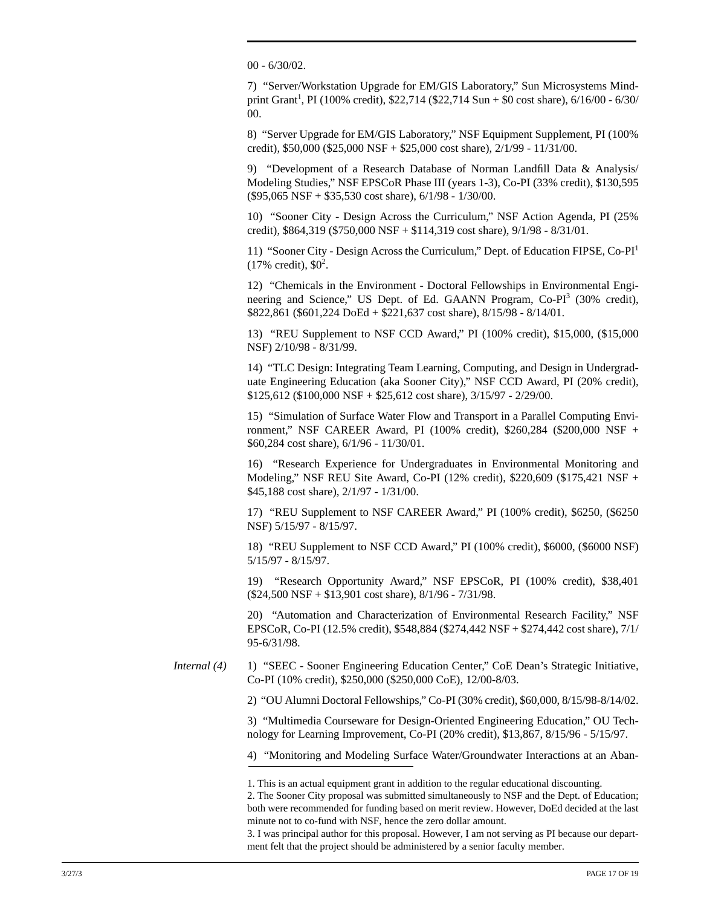00 - 6/30/02.

7) "Server/Workstation Upgrade for EM/GIS Laboratory," Sun Microsystems Mindprint Grant<sup>1</sup>, PI (100% credit), \$22,714 (\$22,714 Sun + \$0 cost share), 6/16/00 - 6/30/ 00.

8) "Server Upgrade for EM/GIS Laboratory," NSF Equipment Supplement, PI (100% credit), \$50,000 (\$25,000 NSF + \$25,000 cost share), 2/1/99 - 11/31/00.

9) "Development of a Research Database of Norman Landfill Data & Analysis/ Modeling Studies," NSF EPSCoR Phase III (years 1-3), Co-PI (33% credit), \$130,595 (\$95,065 NSF + \$35,530 cost share), 6/1/98 - 1/30/00.

10) "Sooner City - Design Across the Curriculum," NSF Action Agenda, PI (25% credit), \$864,319 (\$750,000 NSF + \$114,319 cost share), 9/1/98 - 8/31/01.

11) "Sooner City - Design Across the Curriculum," Dept. of Education FIPSE, Co-PI1  $(17\% \text{ credit}), \$0^2.$ 

12) "Chemicals in the Environment - Doctoral Fellowships in Environmental Engineering and Science," US Dept. of Ed. GAANN Program, Co-PI<sup>3</sup> (30% credit), \$822,861 (\$601,224 DoEd + \$221,637 cost share), 8/15/98 - 8/14/01.

13) "REU Supplement to NSF CCD Award," PI (100% credit), \$15,000, (\$15,000 NSF) 2/10/98 - 8/31/99.

14) "TLC Design: Integrating Team Learning, Computing, and Design in Undergraduate Engineering Education (aka Sooner City)," NSF CCD Award, PI (20% credit),  $$125,612$  (\$100,000 NSF + \$25,612 cost share),  $3/15/97 - 2/29/00$ .

15) "Simulation of Surface Water Flow and Transport in a Parallel Computing Environment," NSF CAREER Award, PI (100% credit), \$260,284 (\$200,000 NSF + \$60,284 cost share), 6/1/96 - 11/30/01.

16) "Research Experience for Undergraduates in Environmental Monitoring and Modeling," NSF REU Site Award, Co-PI (12% credit), \$220,609 (\$175,421 NSF + \$45,188 cost share), 2/1/97 - 1/31/00.

17) "REU Supplement to NSF CAREER Award," PI (100% credit), \$6250, (\$6250 NSF) 5/15/97 - 8/15/97.

18) "REU Supplement to NSF CCD Award," PI (100% credit), \$6000, (\$6000 NSF) 5/15/97 - 8/15/97.

19) "Research Opportunity Award," NSF EPSCoR, PI (100% credit), \$38,401 (\$24,500 NSF + \$13,901 cost share), 8/1/96 - 7/31/98.

20) "Automation and Characterization of Environmental Research Facility," NSF EPSCoR, Co-PI (12.5% credit), \$548,884 (\$274,442 NSF + \$274,442 cost share), 7/1/ 95-6/31/98.

*Internal* (4) 1) "SEEC - Sooner Engineering Education Center," CoE Dean's Strategic Initiative, Co-PI (10% credit), \$250,000 (\$250,000 CoE), 12/00-8/03.

2) "OU Alumni Doctoral Fellowships," Co-PI (30% credit), \$60,000, 8/15/98-8/14/02.

3) "Multimedia Courseware for Design-Oriented Engineering Education," OU Technology for Learning Improvement, Co-PI (20% credit), \$13,867, 8/15/96 - 5/15/97.

4) "Monitoring and Modeling Surface Water/Groundwater Interactions at an Aban-

3. I was principal author for this proposal. However, I am not serving as PI because our department felt that the project should be administered by a senior faculty member.

<sup>1.</sup> This is an actual equipment grant in addition to the regular educational discounting.

<sup>2.</sup> The Sooner City proposal was submitted simultaneously to NSF and the Dept. of Education; both were recommended for funding based on merit review. However, DoEd decided at the last minute not to co-fund with NSF, hence the zero dollar amount.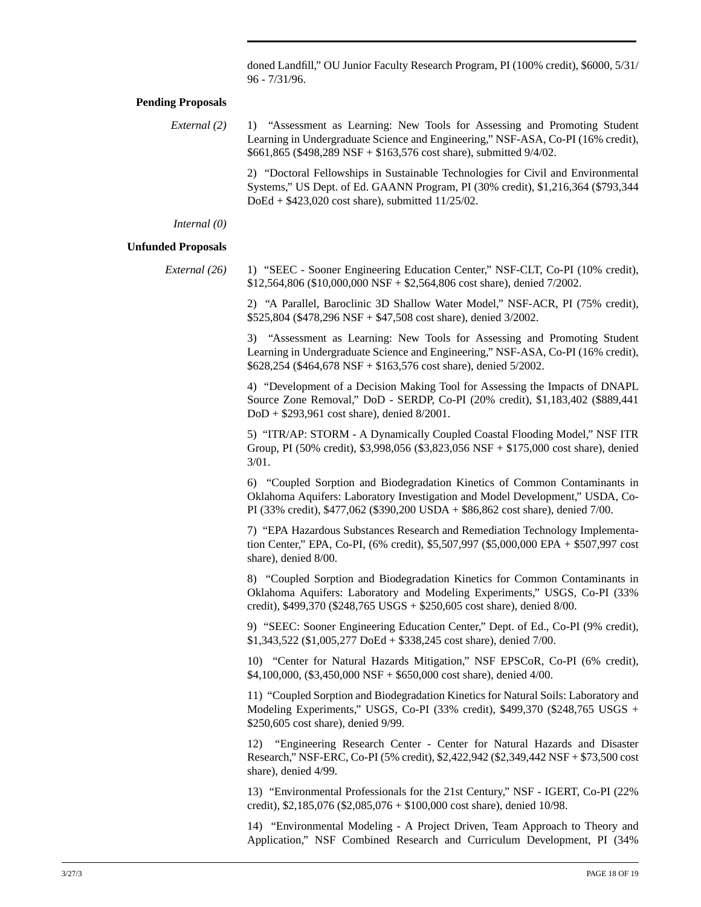doned Landfill," OU Junior Faculty Research Program, PI (100% credit), \$6000, 5/31/ 96 - 7/31/96.

#### **Pending Proposals**

| External (2) | 1) "Assessment as Learning: New Tools for Assessing and Promoting Student<br>Learning in Undergraduate Science and Engineering," NSF-ASA, Co-PI (16% credit),<br>$$661,865$ (\$498,289 NSF + \$163,576 cost share), submitted 9/4/02.  |
|--------------|----------------------------------------------------------------------------------------------------------------------------------------------------------------------------------------------------------------------------------------|
|              | 2) "Doctoral Fellowships in Sustainable Technologies for Civil and Environmental<br>Systems," US Dept. of Ed. GAANN Program, PI (30% credit), \$1,216,364 (\$793,344)<br>DoEd + $$423,020 \text{ cost share}$ , submitted $11/25/02$ . |

*Internal (0)*

#### **Unfunded Proposals**

*External (26)* 1) "SEEC - Sooner Engineering Education Center," NSF-CLT, Co-PI (10% credit), \$12,564,806 (\$10,000,000 NSF + \$2,564,806 cost share), denied 7/2002.

> 2) "A Parallel, Baroclinic 3D Shallow Water Model," NSF-ACR, PI (75% credit), \$525,804 (\$478,296 NSF + \$47,508 cost share), denied 3/2002.

> 3) "Assessment as Learning: New Tools for Assessing and Promoting Student Learning in Undergraduate Science and Engineering," NSF-ASA, Co-PI (16% credit), \$628,254 (\$464,678 NSF + \$163,576 cost share), denied 5/2002.

> 4) "Development of a Decision Making Tool for Assessing the Impacts of DNAPL Source Zone Removal," DoD - SERDP, Co-PI (20% credit), \$1,183,402 (\$889,441 DoD + \$293,961 cost share), denied 8/2001.

> 5) "ITR/AP: STORM - A Dynamically Coupled Coastal Flooding Model," NSF ITR Group, PI (50% credit), \$3,998,056 (\$3,823,056 NSF + \$175,000 cost share), denied 3/01.

> 6) "Coupled Sorption and Biodegradation Kinetics of Common Contaminants in Oklahoma Aquifers: Laboratory Investigation and Model Development," USDA, Co-PI (33% credit), \$477,062 (\$390,200 USDA + \$86,862 cost share), denied 7/00.

> 7) "EPA Hazardous Substances Research and Remediation Technology Implementation Center," EPA, Co-PI, (6% credit), \$5,507,997 (\$5,000,000 EPA + \$507,997 cost share), denied 8/00.

> 8) "Coupled Sorption and Biodegradation Kinetics for Common Contaminants in Oklahoma Aquifers: Laboratory and Modeling Experiments," USGS, Co-PI (33% credit), \$499,370 (\$248,765 USGS + \$250,605 cost share), denied 8/00.

> 9) "SEEC: Sooner Engineering Education Center," Dept. of Ed., Co-PI (9% credit), \$1,343,522 (\$1,005,277 DoEd + \$338,245 cost share), denied 7/00.

> 10) "Center for Natural Hazards Mitigation," NSF EPSCoR, Co-PI (6% credit), \$4,100,000, (\$3,450,000 NSF + \$650,000 cost share), denied 4/00.

> 11) "Coupled Sorption and Biodegradation Kinetics for Natural Soils: Laboratory and Modeling Experiments," USGS, Co-PI (33% credit), \$499,370 (\$248,765 USGS + \$250,605 cost share), denied 9/99.

> 12) "Engineering Research Center - Center for Natural Hazards and Disaster Research," NSF-ERC, Co-PI (5% credit), \$2,422,942 (\$2,349,442 NSF + \$73,500 cost share), denied 4/99.

> 13) "Environmental Professionals for the 21st Century," NSF - IGERT, Co-PI (22% credit), \$2,185,076 (\$2,085,076 + \$100,000 cost share), denied 10/98.

> 14) "Environmental Modeling - A Project Driven, Team Approach to Theory and Application," NSF Combined Research and Curriculum Development, PI (34%